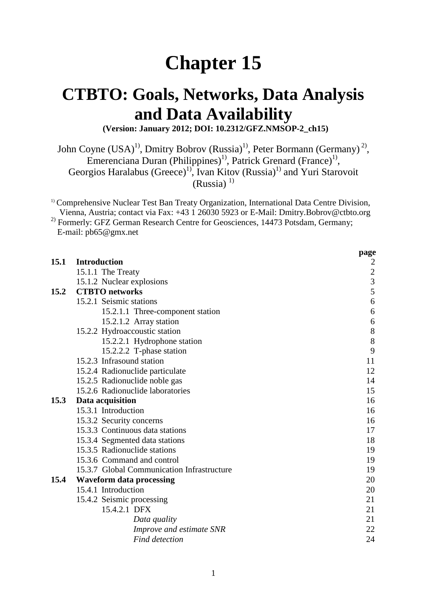# **Chapter 15**

# **CTBTO: Goals, Networks, Data Analysis and Data Availability**

**(Version: January 2012; DOI: 10.2312/GFZ.NMSOP-2\_ch15)**

John Coyne (USA)<sup>1)</sup>, Dmitry Bobrov (Russia)<sup>1)</sup>, Peter Bormann (Germany)<sup>2)</sup>, Emerenciana Duran (Philippines)<sup>1)</sup>, Patrick Grenard (France)<sup>1)</sup>, Georgios Haralabus (Greece)<sup>1)</sup>, Ivan Kitov (Russia)<sup>1)</sup> and Yuri Starovoit  $(Russia)$ <sup>1)</sup>

<sup>1)</sup> Comprehensive Nuclear Test Ban Treaty Organization, International Data Centre Division, Vienna, Austria; contact via Fax: +43 1 26030 5923 or E-Mail: Dmitry.Bobrov@ctbto.org <sup>2)</sup> Formerly: GFZ German Research Centre for Geosciences, 14473 Potsdam, Germany; E-mail: pb65@gmx.net

|      |                                            | page                                       |
|------|--------------------------------------------|--------------------------------------------|
| 15.1 | <b>Introduction</b>                        | 2                                          |
|      | 15.1.1 The Treaty                          |                                            |
|      | 15.1.2 Nuclear explosions                  | $\begin{array}{c} 2 \\ 3 \\ 5 \end{array}$ |
| 15.2 | <b>CTBTO</b> networks                      |                                            |
|      | 15.2.1 Seismic stations                    | 6                                          |
|      | 15.2.1.1 Three-component station           | 6                                          |
|      | 15.2.1.2 Array station                     | 6                                          |
|      | 15.2.2 Hydroaccoustic station              | $\,8\,$                                    |
|      | 15.2.2.1 Hydrophone station                | 8                                          |
|      | 15.2.2.2 T-phase station                   | 9                                          |
|      | 15.2.3 Infrasound station                  | 11                                         |
|      | 15.2.4 Radionuclide particulate            | 12                                         |
|      | 15.2.5 Radionuclide noble gas              | 14                                         |
|      | 15.2.6 Radionuclide laboratories           | 15                                         |
| 15.3 | Data acquisition                           | 16                                         |
|      | 15.3.1 Introduction                        | 16                                         |
|      | 15.3.2 Security concerns                   | 16                                         |
|      | 15.3.3 Continuous data stations            | 17                                         |
|      | 15.3.4 Segmented data stations             | 18                                         |
|      | 15.3.5 Radionuclide stations               | 19                                         |
|      | 15.3.6 Command and control                 | 19                                         |
|      | 15.3.7 Global Communication Infrastructure | 19                                         |
| 15.4 | <b>Waveform data processing</b>            | 20                                         |
|      | 15.4.1 Introduction                        | 20                                         |
|      | 15.4.2 Seismic processing                  | 21                                         |
|      | 15.4.2.1 DFX                               | 21                                         |
|      | Data quality                               | 21                                         |
|      | Improve and estimate SNR                   | 22                                         |
|      | <b>Find detection</b>                      | 24                                         |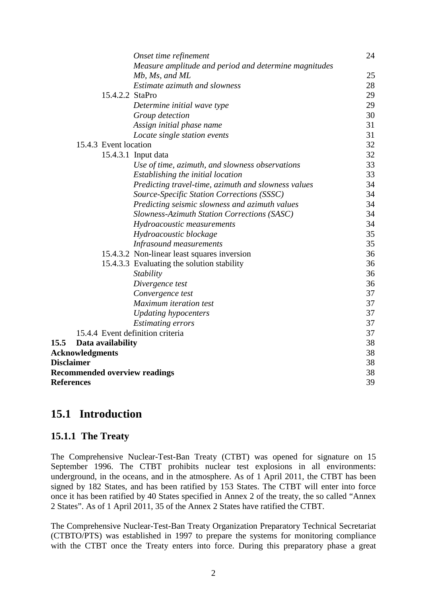|                   |                                      | Onset time refinement                                 | 24       |  |
|-------------------|--------------------------------------|-------------------------------------------------------|----------|--|
|                   |                                      | Measure amplitude and period and determine magnitudes |          |  |
|                   |                                      | Mb, Ms, and ML                                        | 25       |  |
|                   |                                      | Estimate azimuth and slowness                         | 28       |  |
|                   | 15.4.2.2 StaPro                      |                                                       | 29       |  |
|                   |                                      | Determine initial wave type                           | 29       |  |
|                   |                                      | Group detection                                       | 30       |  |
|                   |                                      | Assign initial phase name                             | 31       |  |
|                   |                                      | Locate single station events                          | 31       |  |
|                   | 15.4.3 Event location                |                                                       | 32       |  |
|                   |                                      | 15.4.3.1 Input data                                   | 32       |  |
|                   |                                      | Use of time, azimuth, and slowness observations       | 33       |  |
|                   |                                      | Establishing the initial location                     | 33       |  |
|                   |                                      | Predicting travel-time, azimuth and slowness values   | 34       |  |
|                   |                                      | Source-Specific Station Corrections (SSSC)            | 34       |  |
|                   |                                      | Predicting seismic slowness and azimuth values        | 34       |  |
|                   |                                      | Slowness-Azimuth Station Corrections (SASC)           | 34       |  |
|                   |                                      | Hydroacoustic measurements                            | 34       |  |
|                   |                                      | Hydroacoustic blockage                                | 35       |  |
|                   |                                      | <b>Infrasound measurements</b>                        | 35       |  |
|                   |                                      | 15.4.3.2 Non-linear least squares inversion           | 36       |  |
|                   |                                      | 15.4.3.3 Evaluating the solution stability            | 36       |  |
|                   |                                      | Stability                                             | 36       |  |
|                   |                                      | Divergence test                                       | 36       |  |
|                   |                                      | Convergence test                                      | 37       |  |
|                   |                                      | Maximum iteration test                                | 37       |  |
|                   |                                      | <b>Updating hypocenters</b>                           | 37       |  |
|                   |                                      | <b>Estimating errors</b>                              | 37       |  |
|                   | 15.4.4 Event definition criteria     |                                                       | 37       |  |
| 15.5              | Data availability                    |                                                       | 38       |  |
|                   | <b>Acknowledgments</b>               |                                                       | 38       |  |
|                   | <b>Disclaimer</b>                    |                                                       | 38<br>38 |  |
|                   | <b>Recommended overview readings</b> |                                                       |          |  |
| <b>References</b> |                                      |                                                       |          |  |

# **15.1 Introduction**

# **15.1.1 The Treaty**

The Comprehensive Nuclear-Test-Ban Treaty (CTBT) was opened for signature on 15 September 1996. The CTBT prohibits nuclear test explosions in all environments: underground, in the oceans, and in the atmosphere. As of 1 April 2011, the CTBT has been signed by 182 States, and has been ratified by 153 States. The CTBT will enter into force once it has been ratified by 40 States specified in Annex 2 of the treaty, the so called "Annex 2 States". As of 1 April 2011, 35 of the Annex 2 States have ratified the CTBT.

The Comprehensive Nuclear-Test-Ban Treaty Organization Preparatory Technical Secretariat (CTBTO/PTS) was established in 1997 to prepare the systems for monitoring compliance with the CTBT once the Treaty enters into force. During this preparatory phase a great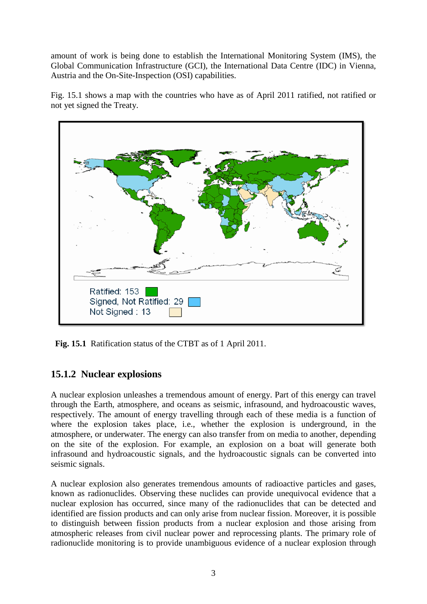amount of work is being done to establish the International Monitoring System (IMS), the Global Communication Infrastructure (GCI), the International Data Centre (IDC) in Vienna, Austria and the On-Site-Inspection (OSI) capabilities.

Fig. 15.1 shows a map with the countries who have as of April 2011 ratified, not ratified or not yet signed the Treaty.



 **Fig. 15.1** Ratification status of the CTBT as of 1 April 2011.

# **15.1.2 Nuclear explosions**

A nuclear explosion unleashes a tremendous amount of energy. Part of this energy can travel through the Earth, atmosphere, and oceans as seismic, infrasound, and hydroacoustic waves, respectively. The amount of energy travelling through each of these media is a function of where the explosion takes place, i.e., whether the explosion is underground, in the atmosphere, or underwater. The energy can also transfer from on media to another, depending on the site of the explosion. For example, an explosion on a boat will generate both infrasound and hydroacoustic signals, and the hydroacoustic signals can be converted into seismic signals.

A nuclear explosion also generates tremendous amounts of radioactive particles and gases, known as radionuclides. Observing these nuclides can provide unequivocal evidence that a nuclear explosion has occurred, since many of the radionuclides that can be detected and identified are fission products and can only arise from nuclear fission. Moreover, it is possible to distinguish between fission products from a nuclear explosion and those arising from atmospheric releases from civil nuclear power and reprocessing plants. The primary role of radionuclide monitoring is to provide unambiguous evidence of a nuclear explosion through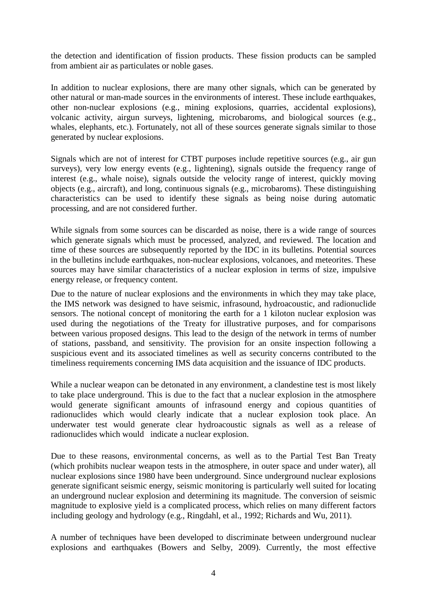the detection and identification of fission products. These fission products can be sampled from ambient air as particulates or noble gases.

In addition to nuclear explosions, there are many other signals, which can be generated by other natural or man-made sources in the environments of interest. These include earthquakes, other non-nuclear explosions (e.g., mining explosions, quarries, accidental explosions), volcanic activity, airgun surveys, lightening, microbaroms, and biological sources (e.g., whales, elephants, etc.). Fortunately, not all of these sources generate signals similar to those generated by nuclear explosions.

Signals which are not of interest for CTBT purposes include repetitive sources (e.g., air gun surveys), very low energy events (e.g., lightening), signals outside the frequency range of interest (e.g., whale noise), signals outside the velocity range of interest, quickly moving objects (e.g., aircraft), and long, continuous signals (e.g., microbaroms). These distinguishing characteristics can be used to identify these signals as being noise during automatic processing, and are not considered further.

While signals from some sources can be discarded as noise, there is a wide range of sources which generate signals which must be processed, analyzed, and reviewed. The location and time of these sources are subsequently reported by the IDC in its bulletins. Potential sources in the bulletins include earthquakes, non-nuclear explosions, volcanoes, and meteorites. These sources may have similar characteristics of a nuclear explosion in terms of size, impulsive energy release, or frequency content.

Due to the nature of nuclear explosions and the environments in which they may take place, the IMS network was designed to have seismic, infrasound, hydroacoustic, and radionuclide sensors. The notional concept of monitoring the earth for a 1 kiloton nuclear explosion was used during the negotiations of the Treaty for illustrative purposes, and for comparisons between various proposed designs. This lead to the design of the network in terms of number of stations, passband, and sensitivity. The provision for an onsite inspection following a suspicious event and its associated timelines as well as security concerns contributed to the timeliness requirements concerning IMS data acquisition and the issuance of IDC products.

While a nuclear weapon can be detonated in any environment, a clandestine test is most likely to take place underground. This is due to the fact that a nuclear explosion in the atmosphere would generate significant amounts of infrasound energy and copious quantities of radionuclides which would clearly indicate that a nuclear explosion took place. An underwater test would generate clear hydroacoustic signals as well as a release of radionuclides which would indicate a nuclear explosion.

Due to these reasons, environmental concerns, as well as to the Partial Test Ban Treaty (which prohibits nuclear weapon tests in the atmosphere, in outer space and under water), all nuclear explosions since 1980 have been underground. Since underground nuclear explosions generate significant seismic energy, seismic monitoring is particularly well suited for locating an underground nuclear explosion and determining its magnitude. The conversion of seismic magnitude to explosive yield is a complicated process, which relies on many different factors including geology and hydrology (e.g., Ringdahl, et al., 1992; Richards and Wu, 2011).

A number of techniques have been developed to discriminate between underground nuclear explosions and earthquakes (Bowers and Selby, 2009). Currently, the most effective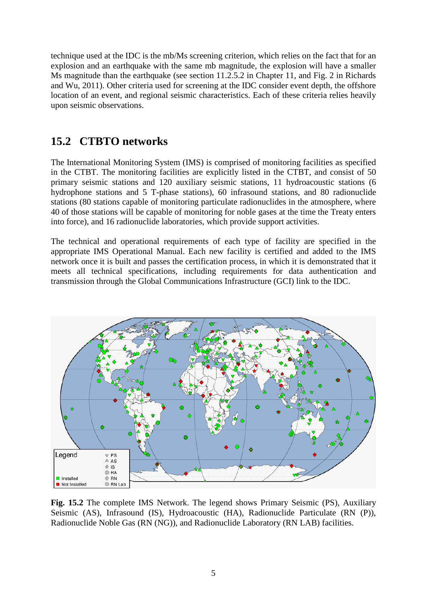technique used at the IDC is the mb/Ms screening criterion, which relies on the fact that for an explosion and an earthquake with the same mb magnitude, the explosion will have a smaller Ms magnitude than the earthquake (see section 11.2.5.2 in Chapter 11, and Fig. 2 in Richards and Wu, 2011). Other criteria used for screening at the IDC consider event depth, the offshore location of an event, and regional seismic characteristics. Each of these criteria relies heavily upon seismic observations.

# **15.2 CTBTO networks**

The International Monitoring System (IMS) is comprised of monitoring facilities as specified in the CTBT. The monitoring facilities are explicitly listed in the CTBT, and consist of 50 primary seismic stations and 120 auxiliary seismic stations, 11 hydroacoustic stations (6 hydrophone stations and 5 T-phase stations), 60 infrasound stations, and 80 radionuclide stations (80 stations capable of monitoring particulate radionuclides in the atmosphere, where 40 of those stations will be capable of monitoring for noble gases at the time the Treaty enters into force), and 16 radionuclide laboratories, which provide support activities.

The technical and operational requirements of each type of facility are specified in the appropriate IMS Operational Manual. Each new facility is certified and added to the IMS network once it is built and passes the certification process, in which it is demonstrated that it meets all technical specifications, including requirements for data authentication and transmission through the Global Communications Infrastructure (GCI) link to the IDC.



**Fig. 15.2** The complete IMS Network. The legend shows Primary Seismic (PS), Auxiliary Seismic (AS), Infrasound (IS), Hydroacoustic (HA), Radionuclide Particulate (RN (P)), Radionuclide Noble Gas (RN (NG)), and Radionuclide Laboratory (RN LAB) facilities.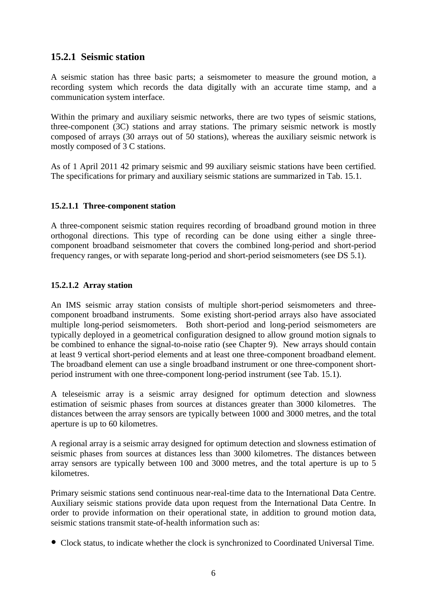# **15.2.1 Seismic station**

A seismic station has three basic parts; a seismometer to measure the ground motion, a recording system which records the data digitally with an accurate time stamp, and a communication system interface.

Within the primary and auxiliary seismic networks, there are two types of seismic stations, three-component (3C) stations and array stations. The primary seismic network is mostly composed of arrays (30 arrays out of 50 stations), whereas the auxiliary seismic network is mostly composed of 3 C stations.

As of 1 April 2011 42 primary seismic and 99 auxiliary seismic stations have been certified. The specifications for primary and auxiliary seismic stations are summarized in Tab. 15.1.

### **15.2.1.1 Three-component station**

A three-component seismic station requires recording of broadband ground motion in three orthogonal directions. This type of recording can be done using either a single threecomponent broadband seismometer that covers the combined long-period and short-period frequency ranges, or with separate long-period and short-period seismometers (see DS 5.1).

### **15.2.1.2 Array station**

An IMS seismic array station consists of multiple short-period seismometers and threecomponent broadband instruments. Some existing short-period arrays also have associated multiple long-period seismometers. Both short-period and long-period seismometers are typically deployed in a geometrical configuration designed to allow ground motion signals to be combined to enhance the signal-to-noise ratio (see Chapter 9). New arrays should contain at least 9 vertical short-period elements and at least one three-component broadband element. The broadband element can use a single broadband instrument or one three-component shortperiod instrument with one three-component long-period instrument (see Tab. 15.1).

A teleseismic array is a seismic array designed for optimum detection and slowness estimation of seismic phases from sources at distances greater than 3000 kilometres. The distances between the array sensors are typically between 1000 and 3000 metres, and the total aperture is up to 60 kilometres.

A regional array is a seismic array designed for optimum detection and slowness estimation of seismic phases from sources at distances less than 3000 kilometres. The distances between array sensors are typically between 100 and 3000 metres, and the total aperture is up to 5 kilometres.

Primary seismic stations send continuous near-real-time data to the International Data Centre. Auxiliary seismic stations provide data upon request from the International Data Centre. In order to provide information on their operational state, in addition to ground motion data, seismic stations transmit state-of-health information such as:

Clock status, to indicate whether the clock is synchronized to Coordinated Universal Time.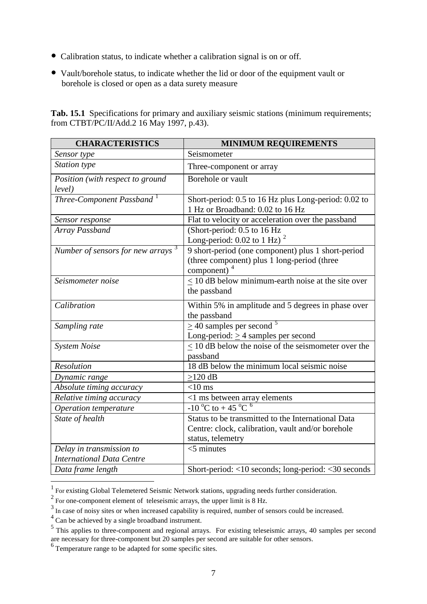- Calibration status, to indicate whether a calibration signal is on or off.
- Vault/borehole status, to indicate whether the lid or door of the equipment vault or borehole is closed or open as a data surety measure

Tab. 15.1 Specifications for primary and auxiliary seismic stations (minimum requirements; from CTBT/PC/II/Add.2 16 May 1997, p.43).

| <b>CHARACTERISTICS</b>                        | <b>MINIMUM REQUIREMENTS</b>                                                                                         |
|-----------------------------------------------|---------------------------------------------------------------------------------------------------------------------|
| Sensor type                                   | Seismometer                                                                                                         |
| Station type                                  | Three-component or array                                                                                            |
| Position (with respect to ground              | Borehole or vault                                                                                                   |
| level)                                        |                                                                                                                     |
| Three-Component Passband <sup>1</sup>         | Short-period: 0.5 to 16 Hz plus Long-period: 0.02 to<br>1 Hz or Broadband: 0.02 to 16 Hz                            |
| Sensor response                               | Flat to velocity or acceleration over the passband                                                                  |
| Array Passband                                | (Short-period: 0.5 to 16 Hz<br>Long-period: $0.02$ to 1 Hz) <sup>2</sup>                                            |
| Number of sensors for new arrays <sup>3</sup> | 9 short-period (one component) plus 1 short-period<br>(three component) plus 1 long-period (three<br>component) $4$ |
| Seismometer noise                             | $\leq$ 10 dB below minimum-earth noise at the site over<br>the passband                                             |
| Calibration                                   | Within 5% in amplitude and 5 degrees in phase over<br>the passband                                                  |
| Sampling rate                                 | $\geq$ 40 samples per second <sup>5</sup>                                                                           |
|                                               | Long-period: $\geq$ 4 samples per second                                                                            |
| <b>System Noise</b>                           | $\leq$ 10 dB below the noise of the seismometer over the                                                            |
|                                               | passband                                                                                                            |
| Resolution                                    | 18 dB below the minimum local seismic noise                                                                         |
| Dynamic range                                 | $>120$ dB                                                                                                           |
| Absolute timing accuracy                      | $<$ 10 ms                                                                                                           |
| Relative timing accuracy                      | $\leq$ 1 ms between array elements<br>-10 °C to +45 °C <sup>6</sup>                                                 |
| Operation temperature                         |                                                                                                                     |
| State of health                               | Status to be transmitted to the International Data                                                                  |
|                                               | Centre: clock, calibration, vault and/or borehole                                                                   |
|                                               | status, telemetry                                                                                                   |
| Delay in transmission to                      | $<$ 5 minutes                                                                                                       |
| <b>International Data Centre</b>              |                                                                                                                     |
| Data frame length                             | Short-period: <10 seconds; long-period: <30 seconds                                                                 |

<sup>&</sup>lt;sup>1</sup> For existing Global Telemetered Seismic Network stations, upgrading needs further consideration.

<span id="page-6-1"></span><span id="page-6-0"></span><sup>&</sup>lt;sup>2</sup> For one-component element of teleseismic arrays, the upper limit is 8 Hz.

<span id="page-6-2"></span><sup>&</sup>lt;sup>3</sup> In case of noisy sites or when increased capability is required, number of sensors could be increased.

<span id="page-6-3"></span><sup>&</sup>lt;sup>4</sup> Can be achieved by a single broadband instrument.

<span id="page-6-4"></span><sup>&</sup>lt;sup>5</sup> This applies to three-component and regional arrays. For existing teleseismic arrays, 40 samples per second are necessary for three-component but 20 samples per second are suitable for other sensors.

<span id="page-6-5"></span><sup>&</sup>lt;sup>6</sup> Temperature range to be adapted for some specific sites.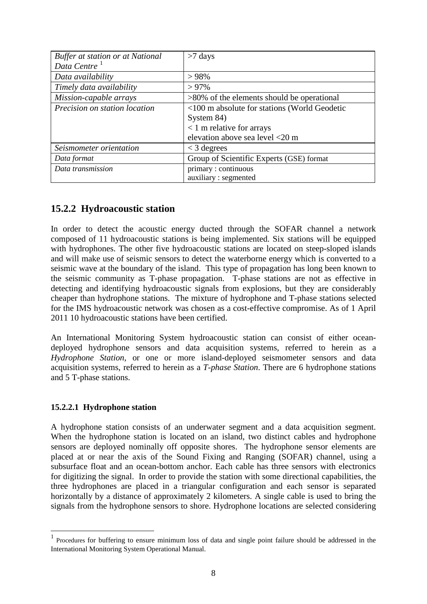| <b>Buffer at station or at National</b> | $>7$ days                                     |
|-----------------------------------------|-----------------------------------------------|
| Data Centre <sup>1</sup>                |                                               |
| Data availability                       | >98%                                          |
| Timely data availability                | $> 97\%$                                      |
| Mission-capable arrays                  | $>80\%$ of the elements should be operational |
| Precision on station location           | <100 m absolute for stations (World Geodetic  |
|                                         | System 84)                                    |
|                                         | $< 1$ m relative for arrays                   |
|                                         | elevation above sea level <20 m               |
| Seismometer orientation                 | $<$ 3 degrees                                 |
| Data format                             | Group of Scientific Experts (GSE) format      |
| Data transmission                       | primary: continuous                           |
|                                         | auxiliary: segmented                          |

# **15.2.2 Hydroacoustic station**

In order to detect the acoustic energy ducted through the SOFAR channel a network composed of 11 hydroacoustic stations is being implemented. Six stations will be equipped with hydrophones. The other five hydroacoustic stations are located on steep-sloped islands and will make use of seismic sensors to detect the waterborne energy which is converted to a seismic wave at the boundary of the island. This type of propagation has long been known to the seismic community as T-phase propagation. T-phase stations are not as effective in detecting and identifying hydroacoustic signals from explosions, but they are considerably cheaper than hydrophone stations. The mixture of hydrophone and T-phase stations selected for the IMS hydroacoustic network was chosen as a cost-effective compromise. As of 1 April 2011 10 hydroacoustic stations have been certified.

An International Monitoring System hydroacoustic station can consist of either oceandeployed hydrophone sensors and data acquisition systems, referred to herein as a *Hydrophone Station*, or one or more island-deployed seismometer sensors and data acquisition systems, referred to herein as a *T-phase Station*. There are 6 hydrophone stations and 5 T-phase stations.

### **15.2.2.1 Hydrophone station**

A hydrophone station consists of an underwater segment and a data acquisition segment. When the hydrophone station is located on an island, two distinct cables and hydrophone sensors are deployed nominally off opposite shores. The hydrophone sensor elements are placed at or near the axis of the Sound Fixing and Ranging (SOFAR) channel, using a subsurface float and an ocean-bottom anchor. Each cable has three sensors with electronics for digitizing the signal. In order to provide the station with some directional capabilities, the three hydrophones are placed in a triangular configuration and each sensor is separated horizontally by a distance of approximately 2 kilometers. A single cable is used to bring the signals from the hydrophone sensors to shore. Hydrophone locations are selected considering

<span id="page-7-0"></span> <sup>1</sup> Procedures for buffering to ensure minimum loss of data and single point failure should be addressed in the International Monitoring System Operational Manual.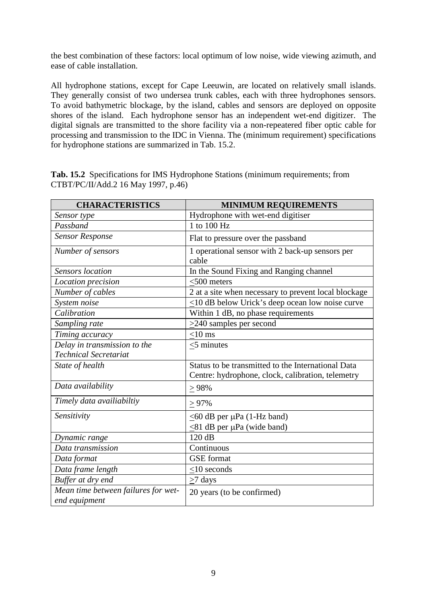the best combination of these factors: local optimum of low noise, wide viewing azimuth, and ease of cable installation.

All hydrophone stations, except for Cape Leeuwin, are located on relatively small islands. They generally consist of two undersea trunk cables, each with three hydrophones sensors. To avoid bathymetric blockage, by the island, cables and sensors are deployed on opposite shores of the island. Each hydrophone sensor has an independent wet-end digitizer. The digital signals are transmitted to the shore facility via a non-repeatered fiber optic cable for processing and transmission to the IDC in Vienna. The (minimum requirement) specifications for hydrophone stations are summarized in Tab. 15.2.

|  | Tab. 15.2 Specifications for IMS Hydrophone Stations (minimum requirements; from |  |  |  |
|--|----------------------------------------------------------------------------------|--|--|--|
|  | CTBT/PC/II/Add.2 16 May 1997, p.46)                                              |  |  |  |

| <b>CHARACTERISTICS</b>                                       | <b>MINIMUM REQUIREMENTS</b>                                                                             |
|--------------------------------------------------------------|---------------------------------------------------------------------------------------------------------|
| Sensor type                                                  | Hydrophone with wet-end digitiser                                                                       |
| Passband                                                     | 1 to 100 Hz                                                                                             |
| <b>Sensor Response</b>                                       | Flat to pressure over the passband                                                                      |
| Number of sensors                                            | 1 operational sensor with 2 back-up sensors per<br>cable                                                |
| <b>Sensors</b> location                                      | In the Sound Fixing and Ranging channel                                                                 |
| Location precision                                           | $<$ 500 meters                                                                                          |
| Number of cables                                             | 2 at a site when necessary to prevent local blockage                                                    |
| System noise                                                 | $\leq$ 10 dB below Urick's deep ocean low noise curve                                                   |
| Calibration                                                  | Within 1 dB, no phase requirements                                                                      |
| Sampling rate                                                | $\geq$ 240 samples per second                                                                           |
| Timing accuracy                                              | $<$ 10 ms                                                                                               |
| Delay in transmission to the<br><b>Technical Secretariat</b> | $\leq$ 5 minutes                                                                                        |
| State of health                                              | Status to be transmitted to the International Data<br>Centre: hydrophone, clock, calibration, telemetry |
| Data availability                                            | > 98%                                                                                                   |
| Timely data availiabiltiy                                    | $> 97\%$                                                                                                |
| Sensitivity                                                  | $<$ 60 dB per $\mu$ Pa (1-Hz band)                                                                      |
|                                                              | $\leq$ 81 dB per µPa (wide band)                                                                        |
| Dynamic range                                                | 120 dB                                                                                                  |
| Data transmission                                            | Continuous                                                                                              |
| Data format                                                  | <b>GSE</b> format                                                                                       |
| Data frame length                                            | $<$ 10 seconds                                                                                          |
| Buffer at dry end                                            | >7 days                                                                                                 |
| Mean time between failures for wet-<br>end equipment         | 20 years (to be confirmed)                                                                              |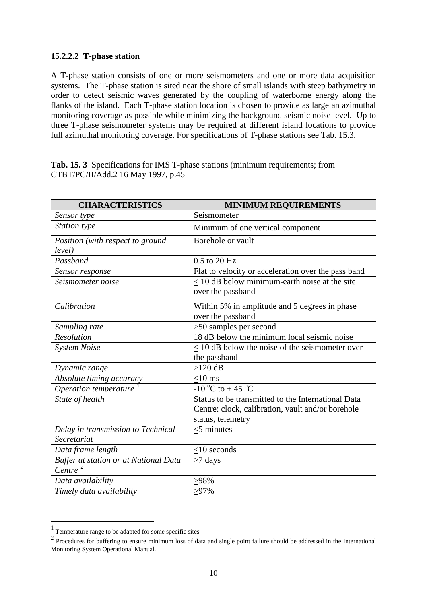### **15.2.2.2 T-phase station**

A T-phase station consists of one or more seismometers and one or more data acquisition systems. The T-phase station is sited near the shore of small islands with steep bathymetry in order to detect seismic waves generated by the coupling of waterborne energy along the flanks of the island. Each T-phase station location is chosen to provide as large an azimuthal monitoring coverage as possible while minimizing the background seismic noise level. Up to three T-phase seismometer systems may be required at different island locations to provide full azimuthal monitoring coverage. For specifications of T-phase stations see Tab. 15.3.

**Tab. 15. 3** Specifications for IMS T-phase stations (minimum requirements; from CTBT/PC/II/Add.2 16 May 1997, p.45

| <b>CHARACTERISTICS</b>                | <b>MINIMUM REQUIREMENTS</b>                                             |
|---------------------------------------|-------------------------------------------------------------------------|
| Sensor type                           | Seismometer                                                             |
| <b>Station type</b>                   | Minimum of one vertical component                                       |
| Position (with respect to ground      | Borehole or vault                                                       |
| level)                                |                                                                         |
| Passband                              | $0.5$ to $20$ Hz                                                        |
| Sensor response                       | Flat to velocity or acceleration over the pass band                     |
| Seismometer noise                     | $\leq$ 10 dB below minimum-earth noise at the site<br>over the passband |
| Calibration                           | Within 5% in amplitude and 5 degrees in phase<br>over the passband      |
| Sampling rate                         | $\geq$ 50 samples per second                                            |
| <b>Resolution</b>                     | 18 dB below the minimum local seismic noise                             |
| <b>System Noise</b>                   | $\leq$ 10 dB below the noise of the seismometer over                    |
|                                       | the passband                                                            |
| Dynamic range                         | $>120$ dB                                                               |
| Absolute timing accuracy              | $<$ 10 ms                                                               |
| Operation temperature                 | $-10^{\circ}$ C to $+45^{\circ}$ C                                      |
| State of health                       | Status to be transmitted to the International Data                      |
|                                       | Centre: clock, calibration, vault and/or borehole                       |
|                                       | status, telemetry                                                       |
| Delay in transmission to Technical    | $\leq$ 5 minutes                                                        |
| Secretariat                           |                                                                         |
| Data frame length                     | $<$ 10 seconds                                                          |
| Buffer at station or at National Data | $>7$ days                                                               |
| Centre <sup>2</sup>                   |                                                                         |
| Data availability                     | >98%                                                                    |
| Timely data availability              | $>97\%$                                                                 |

 <sup>1</sup> Temperature range to be adapted for some specific sites

<span id="page-9-1"></span><span id="page-9-0"></span><sup>&</sup>lt;sup>2</sup> Procedures for buffering to ensure minimum loss of data and single point failure should be addressed in the International Monitoring System Operational Manual.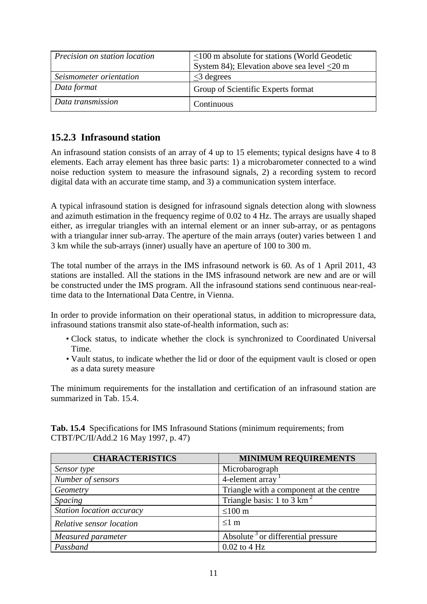| Precision on station location | <100 m absolute for stations (World Geodetic<br>System 84); Elevation above sea level $\leq$ 20 m |
|-------------------------------|---------------------------------------------------------------------------------------------------|
| Seismometer orientation       | $\leq$ 3 degrees                                                                                  |
| Data format                   | Group of Scientific Experts format                                                                |
| Data transmission             | Continuous                                                                                        |

# **15.2.3 Infrasound station**

An infrasound station consists of an array of 4 up to 15 elements; typical designs have 4 to 8 elements. Each array element has three basic parts: 1) a microbarometer connected to a wind noise reduction system to measure the infrasound signals, 2) a recording system to record digital data with an accurate time stamp, and 3) a communication system interface.

A typical infrasound station is designed for infrasound signals detection along with slowness and azimuth estimation in the frequency regime of 0.02 to 4 Hz. The arrays are usually shaped either, as irregular triangles with an internal element or an inner sub-array, or as pentagons with a triangular inner sub-array. The aperture of the main arrays (outer) varies between 1 and 3 km while the sub-arrays (inner) usually have an aperture of 100 to 300 m.

The total number of the arrays in the IMS infrasound network is 60. As of 1 April 2011, 43 stations are installed. All the stations in the IMS infrasound network are new and are or will be constructed under the IMS program. All the infrasound stations send continuous near-realtime data to the International Data Centre, in Vienna.

In order to provide information on their operational status, in addition to micropressure data, infrasound stations transmit also state-of-health information, such as:

- Clock status, to indicate whether the clock is synchronized to Coordinated Universal Time.
- Vault status, to indicate whether the lid or door of the equipment vault is closed or open as a data surety measure

The minimum requirements for the installation and certification of an infrasound station are summarized in Tab. 15.4.

| <b>CHARACTERISTICS</b>    | <b>MINIMUM REQUIREMENTS</b>                    |
|---------------------------|------------------------------------------------|
| Sensor type               | Microbarograph                                 |
| Number of sensors         | 4-element array                                |
| Geometry                  | Triangle with a component at the centre        |
| <b>Spacing</b>            | Triangle basis: 1 to 3 km <sup>2</sup>         |
| Station location accuracy | $\leq 100$ m                                   |
| Relative sensor location  | $\leq 1$ m                                     |
| Measured parameter        | Absolute <sup>3</sup> or differential pressure |
| Passband                  | $0.02$ to 4 Hz                                 |

**Tab. 15.4** Specifications for IMS Infrasound Stations (minimum requirements; from CTBT/PC/II/Add.2 16 May 1997, p. 47)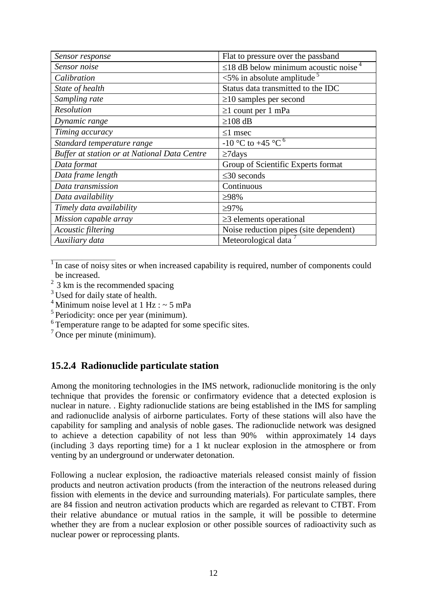| Sensor response                              | Flat to pressure over the passband                     |
|----------------------------------------------|--------------------------------------------------------|
| Sensor noise                                 | $\leq$ 18 dB below minimum acoustic noise <sup>4</sup> |
| Calibration                                  | $\leq$ 5% in absolute amplitude <sup>5</sup>           |
| State of health                              | Status data transmitted to the IDC                     |
| Sampling rate                                | $\geq$ 10 samples per second                           |
| Resolution                                   | $\geq 1$ count per 1 mPa                               |
| Dynamic range                                | $\geq$ 108 dB                                          |
| Timing accuracy                              | $\leq$ 1 msec                                          |
| Standard temperature range                   | $-10$ °C to $+45$ °C $^{6}$                            |
|                                              |                                                        |
| Buffer at station or at National Data Centre | $\geq$ 7days                                           |
| Data format                                  | Group of Scientific Experts format                     |
| Data frame length                            | $\leq$ 30 seconds                                      |
| Data transmission                            | Continuous                                             |
| Data availability                            | $>98\%$                                                |
| Timely data availability                     | $\geq 97\%$                                            |
| Mission capable array                        | $\geq$ 3 elements operational                          |
| Acoustic filtering                           | Noise reduction pipes (site dependent)                 |

 $\overline{1}$  In case of noisy sites or when increased capability is required, number of components could be increased.

- <sup>3</sup> Used for daily state of health.
- <sup>4</sup> Minimum noise level at 1 Hz :  $\sim$  5 mPa
- $5$  Periodicity: once per year (minimum).
- <sup>6</sup> Temperature range to be adapted for some specific sites.

 $<sup>7</sup>$  Once per minute (minimum).</sup>

# **15.2.4 Radionuclide particulate station**

Among the monitoring technologies in the IMS network, radionuclide monitoring is the only technique that provides the forensic or confirmatory evidence that a detected explosion is nuclear in nature. . Eighty radionuclide stations are being established in the IMS for sampling and radionuclide analysis of airborne particulates. Forty of these stations will also have the capability for sampling and analysis of noble gases. The radionuclide network was designed to achieve a detection capability of not less than 90% within approximately 14 days (including 3 days reporting time) for a 1 kt nuclear explosion in the atmosphere or from venting by an underground or underwater detonation.

Following a nuclear explosion, the radioactive materials released consist mainly of fission products and neutron activation products (from the interaction of the neutrons released during fission with elements in the device and surrounding materials). For particulate samples, there are 84 fission and neutron activation products which are regarded as relevant to CTBT. From their relative abundance or mutual ratios in the sample, it will be possible to determine whether they are from a nuclear explosion or other possible sources of radioactivity such as nuclear power or reprocessing plants.

 $2^{2}$  3 km is the recommended spacing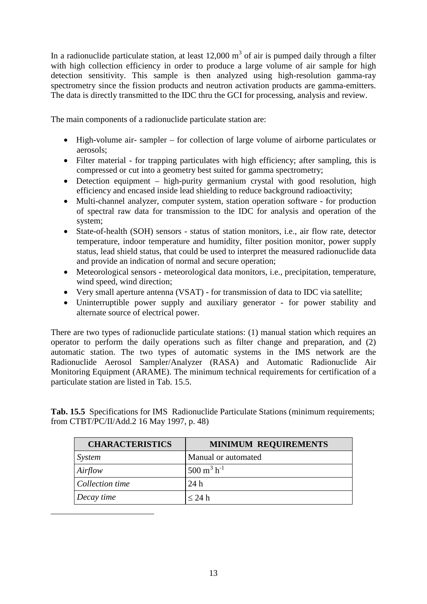In a radionuclide particulate station, at least  $12,000 \text{ m}^3$  of air is pumped daily through a filter with high collection efficiency in order to produce a large volume of air sample for high detection sensitivity. This sample is then analyzed using high-resolution gamma-ray spectrometry since the fission products and neutron activation products are gamma-emitters. The data is directly transmitted to the IDC thru the GCI for processing, analysis and review.

The main components of a radionuclide particulate station are:

- High-volume air- sampler for collection of large volume of airborne particulates or aerosols;
- Filter material for trapping particulates with high efficiency; after sampling, this is compressed or cut into a geometry best suited for gamma spectrometry;
- Detection equipment high-purity germanium crystal with good resolution, high efficiency and encased inside lead shielding to reduce background radioactivity;
- Multi-channel analyzer, computer system, station operation software for production of spectral raw data for transmission to the IDC for analysis and operation of the system;
- State-of-health (SOH) sensors status of station monitors, i.e., air flow rate, detector temperature, indoor temperature and humidity, filter position monitor, power supply status, lead shield status, that could be used to interpret the measured radionuclide data and provide an indication of normal and secure operation;
- Meteorological sensors meteorological data monitors, i.e., precipitation, temperature, wind speed, wind direction;
- Very small aperture antenna (VSAT) for transmission of data to IDC via satellite;
- Uninterruptible power supply and auxiliary generator for power stability and alternate source of electrical power.

There are two types of radionuclide particulate stations: (1) manual station which requires an operator to perform the daily operations such as filter change and preparation, and (2) automatic station. The two types of automatic systems in the IMS network are the Radionuclide Aerosol Sampler/Analyzer (RASA) and Automatic Radionuclide Air Monitoring Equipment (ARAME). The minimum technical requirements for certification of a particulate station are listed in Tab. 15.5.

Tab. 15.5 Specifications for IMS Radionuclide Particulate Stations (minimum requirements; from CTBT/PC/II/Add.2 16 May 1997, p. 48)

| <b>CHARACTERISTICS</b> | <b>MINIMUM REQUIREMENTS</b>      |
|------------------------|----------------------------------|
| System                 | Manual or automated              |
| Airflow                | $500 \text{ m}^3 \text{ h}^{-1}$ |
| Collection time        | 24h                              |
| Decay time             | $\leq 24$ h                      |

<span id="page-12-0"></span>-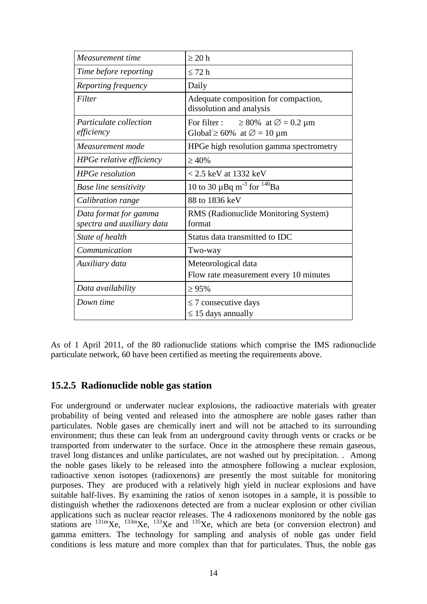| Measurement time                                    | $\geq 20$ h                                                                                                       |
|-----------------------------------------------------|-------------------------------------------------------------------------------------------------------------------|
| Time before reporting                               | $\leq$ 72 h                                                                                                       |
| Reporting frequency                                 | Daily                                                                                                             |
| Filter                                              | Adequate composition for compaction,<br>dissolution and analysis                                                  |
| <i>Particulate collection</i><br>efficiency         | For filter : $\geq 80\%$ at $\varnothing = 0.2 \,\mu\text{m}$<br>Global $\geq 60\%$ at $\varnothing = 10 \,\mu m$ |
| Measurement mode                                    | HPGe high resolution gamma spectrometry                                                                           |
| <b>HPGe relative efficiency</b>                     | $\geq 40\%$                                                                                                       |
| <b>HPGe</b> resolution                              | $< 2.5$ keV at 1332 keV                                                                                           |
| <b>Base line sensitivity</b>                        | 10 to 30 $\mu$ Bq m <sup>-3</sup> for <sup>140</sup> Ba                                                           |
| Calibration range                                   | 88 to 1836 keV                                                                                                    |
| Data format for gamma<br>spectra and auxiliary data | RMS (Radionuclide Monitoring System)<br>format                                                                    |
| State of health                                     | Status data transmitted to IDC                                                                                    |
| Communication                                       | Two-way                                                                                                           |
| Auxiliary data                                      | Meteorological data<br>Flow rate measurement every 10 minutes                                                     |
| Data availability                                   | $\geq 95\%$                                                                                                       |
| Down time                                           | $\leq$ 7 consecutive days<br>$\leq$ 15 days annually                                                              |

As of 1 April 2011, of the 80 radionuclide stations which comprise the IMS radionuclide particulate network, 60 have been certified as meeting the requirements above.

# **15.2.5 Radionuclide noble gas station**

For underground or underwater nuclear explosions, the radioactive materials with greater probability of being vented and released into the atmosphere are noble gases rather than particulates. Noble gases are chemically inert and will not be attached to its surrounding environment; thus these can leak from an underground cavity through vents or cracks or be transported from underwater to the surface. Once in the atmosphere these remain gaseous, travel long distances and unlike particulates, are not washed out by precipitation. . Among the noble gases likely to be released into the atmosphere following a nuclear explosion, radioactive xenon isotopes (radioxenons) are presently the most suitable for monitoring purposes. They are produced with a relatively high yield in nuclear explosions and have suitable half-lives. By examining the ratios of xenon isotopes in a sample, it is possible to distinguish whether the radioxenons detected are from a nuclear explosion or other civilian applications such as nuclear reactor releases. The 4 radioxenons monitored by the noble gas stations are  $^{131m}$ Xe,  $^{133m}$ Xe,  $^{133}$ Xe and  $^{135}$ Xe, which are beta (or conversion electron) and gamma emitters. The technology for sampling and analysis of noble gas under field conditions is less mature and more complex than that for particulates. Thus, the noble gas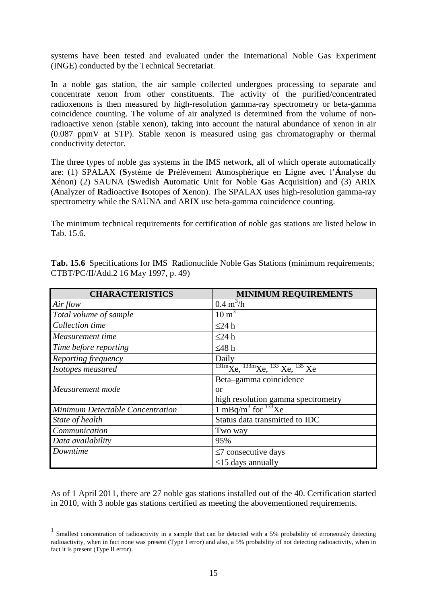systems have been tested and evaluated under the International Noble Gas Experiment (INGE) conducted by the Technical Secretariat.

In a noble gas station, the air sample collected undergoes processing to separate and concentrate xenon from other constituents. The activity of the purified/concentrated radioxenons is then measured by high-resolution gamma-ray spectrometry or beta-gamma coincidence counting. The volume of air analyzed is determined from the volume of nonradioactive xenon (stable xenon), taking into account the natural abundance of xenon in air (0.087 ppmV at STP). Stable xenon is measured using gas chromatography or thermal conductivity detector.

The three types of noble gas systems in the IMS network, all of which operate automatically are: (1) SPALAX (**S**ystème de **P**rélèvement **A**tmosphérique en **L**igne avec l'**Á**nalyse du **X**énon) (2) SAUNA (**S**wedish **A**utomatic **U**nit for **N**oble **G**as **A**cquisition) and (3) ARIX (**A**nalyzer of **R**adioactive **I**sotopes of **X**enon). The SPALAX uses high-resolution gamma-ray spectrometry while the SAUNA and ARIX use beta-gamma coincidence counting.

The minimum technical requirements for certification of noble gas stations are listed below in Tab. 15.6.

| <b>CHARACTERISTICS</b>                        | <b>MINIMUM REQUIREMENTS</b>                                                                                             |
|-----------------------------------------------|-------------------------------------------------------------------------------------------------------------------------|
| Air flow                                      | $0.4 \text{ m}^3/\text{h}$                                                                                              |
| Total volume of sample                        | $10 \text{ m}^3$                                                                                                        |
| Collection time                               | $\leq$ 24 h                                                                                                             |
| Measurement time                              | $\leq$ 24 h                                                                                                             |
| Time before reporting                         | ≤48 $h$                                                                                                                 |
| Reporting frequency                           | Daily                                                                                                                   |
| Isotopes measured                             | $\frac{131 \text{m}}{\text{Xe}}$ , $\frac{133 \text{m}}{\text{Xe}}$ , $\frac{133}{\text{Xe}}$ , $\frac{135}{\text{Xe}}$ |
|                                               | Beta-gamma coincidence                                                                                                  |
| Measurement mode                              | or                                                                                                                      |
|                                               | high resolution gamma spectrometry                                                                                      |
| Minimum Detectable Concentration <sup>1</sup> | 1 mBq/m <sup>3</sup> for $^{133}$ Xe                                                                                    |
| State of health                               | Status data transmitted to IDC                                                                                          |
| Communication                                 | Two way                                                                                                                 |
| Data availability                             | 95%                                                                                                                     |
| Downtime                                      | $\leq$ 7 consecutive days                                                                                               |
|                                               | $\leq$ 15 days annually                                                                                                 |

Tab. 15.6 Specifications for IMS Radionuclide Noble Gas Stations (minimum requirements; CTBT/PC/II/Add.2 16 May 1997, p. 49)

As of 1 April 2011, there are 27 noble gas stations installed out of the 40. Certification started in 2010, with 3 noble gas stations certified as meeting the abovementioned requirements.

<span id="page-14-0"></span> $1$  Smallest concentration of radioactivity in a sample that can be detected with a 5% probability of erroneously detecting radioactivity, when in fact none was present (Type I error) and also, a 5% probability of not detecting radioactivity, when in fact it is present (Type II error).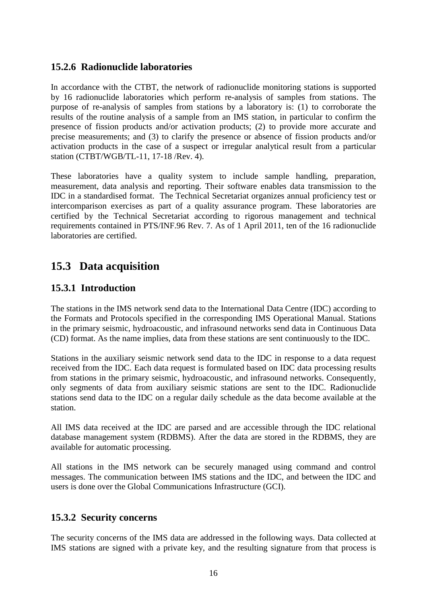# **15.2.6 Radionuclide laboratories**

In accordance with the CTBT, the network of radionuclide monitoring stations is supported by 16 radionuclide laboratories which perform re-analysis of samples from stations. The purpose of re-analysis of samples from stations by a laboratory is: (1) to corroborate the results of the routine analysis of a sample from an IMS station, in particular to confirm the presence of fission products and/or activation products; (2) to provide more accurate and precise measurements; and (3) to clarify the presence or absence of fission products and/or activation products in the case of a suspect or irregular analytical result from a particular station (CTBT/WGB/TL-11, 17-18 /Rev. 4).

These laboratories have a quality system to include sample handling, preparation, measurement, data analysis and reporting. Their software enables data transmission to the IDC in a standardised format. The Technical Secretariat organizes annual proficiency test or intercomparison exercises as part of a quality assurance program. These laboratories are certified by the Technical Secretariat according to rigorous management and technical requirements contained in PTS/INF.96 Rev. 7. As of 1 April 2011, ten of the 16 radionuclide laboratories are certified.

# **15.3 Data acquisition**

# **15.3.1 Introduction**

The stations in the IMS network send data to the International Data Centre (IDC) according to the Formats and Protocols specified in the corresponding IMS Operational Manual. Stations in the primary seismic, hydroacoustic, and infrasound networks send data in Continuous Data (CD) format. As the name implies, data from these stations are sent continuously to the IDC.

Stations in the auxiliary seismic network send data to the IDC in response to a data request received from the IDC. Each data request is formulated based on IDC data processing results from stations in the primary seismic, hydroacoustic, and infrasound networks. Consequently, only segments of data from auxiliary seismic stations are sent to the IDC. Radionuclide stations send data to the IDC on a regular daily schedule as the data become available at the station.

All IMS data received at the IDC are parsed and are accessible through the IDC relational database management system (RDBMS). After the data are stored in the RDBMS, they are available for automatic processing.

All stations in the IMS network can be securely managed using command and control messages. The communication between IMS stations and the IDC, and between the IDC and users is done over the Global Communications Infrastructure (GCI).

# **15.3.2 Security concerns**

The security concerns of the IMS data are addressed in the following ways. Data collected at IMS stations are signed with a private key, and the resulting signature from that process is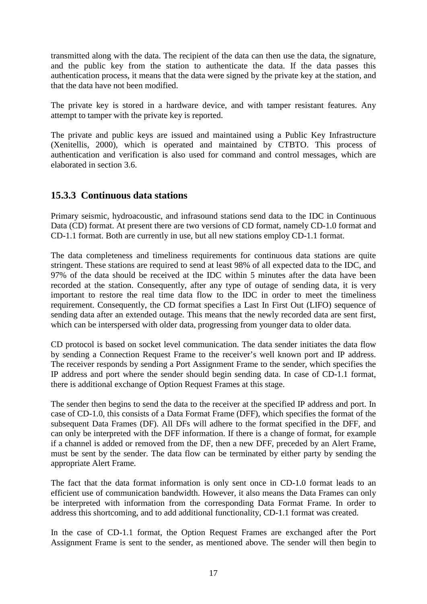transmitted along with the data. The recipient of the data can then use the data, the signature, and the public key from the station to authenticate the data. If the data passes this authentication process, it means that the data were signed by the private key at the station, and that the data have not been modified.

The private key is stored in a hardware device, and with tamper resistant features. Any attempt to tamper with the private key is reported.

The private and public keys are issued and maintained using a Public Key Infrastructure (Xenitellis, 2000), which is operated and maintained by CTBTO. This process of authentication and verification is also used for command and control messages, which are elaborated in section 3.6.

# **15.3.3 Continuous data stations**

Primary seismic, hydroacoustic, and infrasound stations send data to the IDC in Continuous Data (CD) format. At present there are two versions of CD format, namely CD-1.0 format and CD-1.1 format. Both are currently in use, but all new stations employ CD-1.1 format.

The data completeness and timeliness requirements for continuous data stations are quite stringent. These stations are required to send at least 98% of all expected data to the IDC, and 97% of the data should be received at the IDC within 5 minutes after the data have been recorded at the station. Consequently, after any type of outage of sending data, it is very important to restore the real time data flow to the IDC in order to meet the timeliness requirement. Consequently, the CD format specifies a Last In First Out (LIFO) sequence of sending data after an extended outage. This means that the newly recorded data are sent first, which can be interspersed with older data, progressing from younger data to older data.

CD protocol is based on socket level communication. The data sender initiates the data flow by sending a Connection Request Frame to the receiver's well known port and IP address. The receiver responds by sending a Port Assignment Frame to the sender, which specifies the IP address and port where the sender should begin sending data. In case of CD-1.1 format, there is additional exchange of Option Request Frames at this stage.

The sender then begins to send the data to the receiver at the specified IP address and port. In case of CD-1.0, this consists of a Data Format Frame (DFF), which specifies the format of the subsequent Data Frames (DF). All DFs will adhere to the format specified in the DFF, and can only be interpreted with the DFF information. If there is a change of format, for example if a channel is added or removed from the DF, then a new DFF, preceded by an Alert Frame, must be sent by the sender. The data flow can be terminated by either party by sending the appropriate Alert Frame.

The fact that the data format information is only sent once in CD-1.0 format leads to an efficient use of communication bandwidth. However, it also means the Data Frames can only be interpreted with information from the corresponding Data Format Frame. In order to address this shortcoming, and to add additional functionality, CD-1.1 format was created.

In the case of CD-1.1 format, the Option Request Frames are exchanged after the Port Assignment Frame is sent to the sender, as mentioned above. The sender will then begin to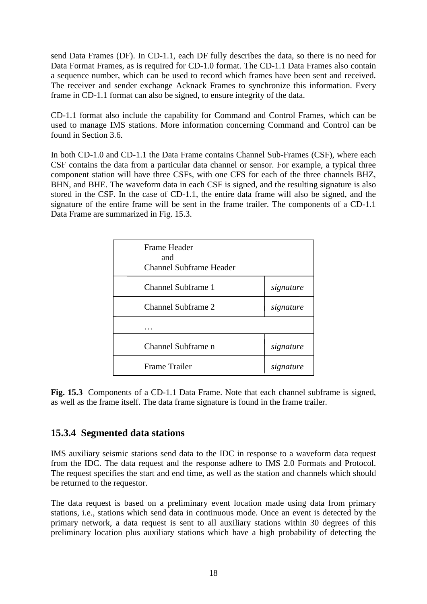send Data Frames (DF). In CD-1.1, each DF fully describes the data, so there is no need for Data Format Frames, as is required for CD-1.0 format. The CD-1.1 Data Frames also contain a sequence number, which can be used to record which frames have been sent and received. The receiver and sender exchange Acknack Frames to synchronize this information. Every frame in CD-1.1 format can also be signed, to ensure integrity of the data.

CD-1.1 format also include the capability for Command and Control Frames, which can be used to manage IMS stations. More information concerning Command and Control can be found in Section 3.6.

In both CD-1.0 and CD-1.1 the Data Frame contains Channel Sub-Frames (CSF), where each CSF contains the data from a particular data channel or sensor. For example, a typical three component station will have three CSFs, with one CFS for each of the three channels BHZ, BHN, and BHE. The waveform data in each CSF is signed, and the resulting signature is also stored in the CSF. In the case of CD-1.1, the entire data frame will also be signed, and the signature of the entire frame will be sent in the frame trailer. The components of a CD-1.1 Data Frame are summarized in Fig. 15.3.

| Frame Header<br>and<br>Channel Subframe Header |           |
|------------------------------------------------|-----------|
| <b>Channel Subframe 1</b>                      | signature |
| <b>Channel Subframe 2</b>                      | signature |
|                                                |           |
| Channel Subframe n                             | signature |
| <b>Frame Trailer</b>                           | signature |

**Fig. 15.3** Components of a CD-1.1 Data Frame. Note that each channel subframe is signed, as well as the frame itself. The data frame signature is found in the frame trailer.

# **15.3.4 Segmented data stations**

IMS auxiliary seismic stations send data to the IDC in response to a waveform data request from the IDC. The data request and the response adhere to IMS 2.0 Formats and Protocol. The request specifies the start and end time, as well as the station and channels which should be returned to the requestor.

The data request is based on a preliminary event location made using data from primary stations, i.e., stations which send data in continuous mode. Once an event is detected by the primary network, a data request is sent to all auxiliary stations within 30 degrees of this preliminary location plus auxiliary stations which have a high probability of detecting the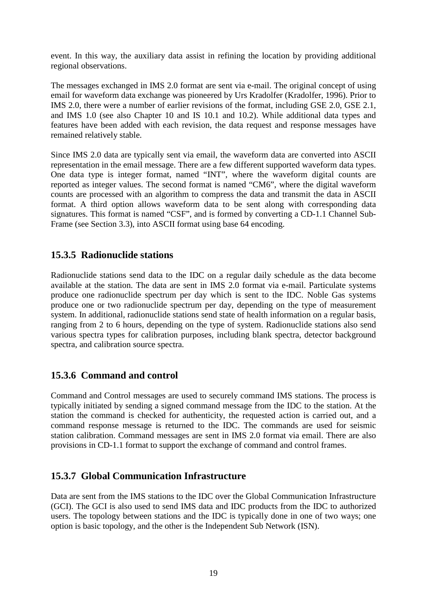event. In this way, the auxiliary data assist in refining the location by providing additional regional observations.

The messages exchanged in IMS 2.0 format are sent via e-mail. The original concept of using email for waveform data exchange was pioneered by Urs Kradolfer (Kradolfer, 1996). Prior to IMS 2.0, there were a number of earlier revisions of the format, including GSE 2.0, GSE 2.1, and IMS 1.0 (see also Chapter 10 and IS 10.1 and 10.2). While additional data types and features have been added with each revision, the data request and response messages have remained relatively stable.

Since IMS 2.0 data are typically sent via email, the waveform data are converted into ASCII representation in the email message. There are a few different supported waveform data types. One data type is integer format, named "INT", where the waveform digital counts are reported as integer values. The second format is named "CM6", where the digital waveform counts are processed with an algorithm to compress the data and transmit the data in ASCII format. A third option allows waveform data to be sent along with corresponding data signatures. This format is named "CSF", and is formed by converting a CD-1.1 Channel Sub-Frame (see Section 3.3), into ASCII format using base 64 encoding.

# **15.3.5 Radionuclide stations**

Radionuclide stations send data to the IDC on a regular daily schedule as the data become available at the station. The data are sent in IMS 2.0 format via e-mail. Particulate systems produce one radionuclide spectrum per day which is sent to the IDC. Noble Gas systems produce one or two radionuclide spectrum per day, depending on the type of measurement system. In additional, radionuclide stations send state of health information on a regular basis, ranging from 2 to 6 hours, depending on the type of system. Radionuclide stations also send various spectra types for calibration purposes, including blank spectra, detector background spectra, and calibration source spectra.

# **15.3.6 Command and control**

Command and Control messages are used to securely command IMS stations. The process is typically initiated by sending a signed command message from the IDC to the station. At the station the command is checked for authenticity, the requested action is carried out, and a command response message is returned to the IDC. The commands are used for seismic station calibration. Command messages are sent in IMS 2.0 format via email. There are also provisions in CD-1.1 format to support the exchange of command and control frames.

# **15.3.7 Global Communication Infrastructure**

Data are sent from the IMS stations to the IDC over the Global Communication Infrastructure (GCI). The GCI is also used to send IMS data and IDC products from the IDC to authorized users. The topology between stations and the IDC is typically done in one of two ways; one option is basic topology, and the other is the Independent Sub Network (ISN).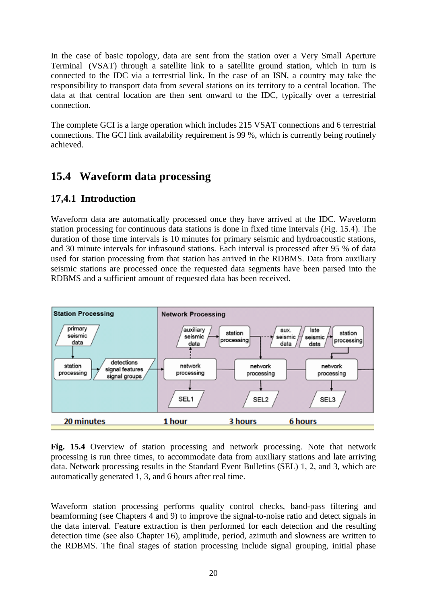In the case of basic topology, data are sent from the station over a Very Small Aperture Terminal (VSAT) through a satellite link to a satellite ground station, which in turn is connected to the IDC via a terrestrial link. In the case of an ISN, a country may take the responsibility to transport data from several stations on its territory to a central location. The data at that central location are then sent onward to the IDC, typically over a terrestrial connection.

The complete GCI is a large operation which includes 215 VSAT connections and 6 terrestrial connections. The GCI link availability requirement is 99 %, which is currently being routinely achieved.

# **15.4 Waveform data processing**

# **17,4.1 Introduction**

Waveform data are automatically processed once they have arrived at the IDC. Waveform station processing for continuous data stations is done in fixed time intervals (Fig. 15.4). The duration of those time intervals is 10 minutes for primary seismic and hydroacoustic stations, and 30 minute intervals for infrasound stations. Each interval is processed after 95 % of data used for station processing from that station has arrived in the RDBMS. Data from auxiliary seismic stations are processed once the requested data segments have been parsed into the RDBMS and a sufficient amount of requested data has been received.



**Fig. 15.4** Overview of station processing and network processing. Note that network processing is run three times, to accommodate data from auxiliary stations and late arriving data. Network processing results in the Standard Event Bulletins (SEL) 1, 2, and 3, which are automatically generated 1, 3, and 6 hours after real time.

Waveform station processing performs quality control checks, band-pass filtering and beamforming (see Chapters 4 and 9) to improve the signal-to-noise ratio and detect signals in the data interval. Feature extraction is then performed for each detection and the resulting detection time (see also Chapter 16), amplitude, period, azimuth and slowness are written to the RDBMS. The final stages of station processing include signal grouping, initial phase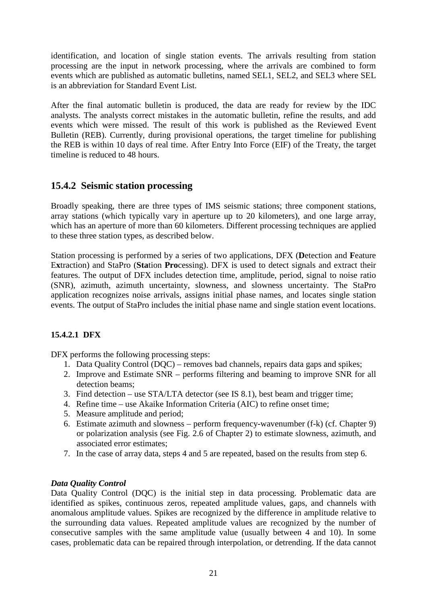identification, and location of single station events. The arrivals resulting from station processing are the input in network processing, where the arrivals are combined to form events which are published as automatic bulletins, named SEL1, SEL2, and SEL3 where SEL is an abbreviation for Standard Event List.

After the final automatic bulletin is produced, the data are ready for review by the IDC analysts. The analysts correct mistakes in the automatic bulletin, refine the results, and add events which were missed. The result of this work is published as the Reviewed Event Bulletin (REB). Currently, during provisional operations, the target timeline for publishing the REB is within 10 days of real time. After Entry Into Force (EIF) of the Treaty, the target timeline is reduced to 48 hours.

# **15.4.2 Seismic station processing**

Broadly speaking, there are three types of IMS seismic stations; three component stations, array stations (which typically vary in aperture up to 20 kilometers), and one large array, which has an aperture of more than 60 kilometers. Different processing techniques are applied to these three station types, as described below.

Station processing is performed by a series of two applications, DFX (**D**etection and **F**eature E**x**traction) and StaPro (**Sta**tion **Pro**cessing). DFX is used to detect signals and extract their features. The output of DFX includes detection time, amplitude, period, signal to noise ratio (SNR), azimuth, azimuth uncertainty, slowness, and slowness uncertainty. The StaPro application recognizes noise arrivals, assigns initial phase names, and locates single station events. The output of StaPro includes the initial phase name and single station event locations.

# **15.4.2.1 DFX**

DFX performs the following processing steps:

- 1. Data Quality Control (DQC) removes bad channels, repairs data gaps and spikes;
- 2. Improve and Estimate SNR performs filtering and beaming to improve SNR for all detection beams;
- 3. Find detection use STA/LTA detector (see IS 8.1), best beam and trigger time;
- 4. Refine time use Akaike Information Criteria (AIC) to refine onset time;
- 5. Measure amplitude and period;
- 6. Estimate azimuth and slowness perform frequency-wavenumber (f-k) (cf. Chapter 9) or polarization analysis (see Fig. 2.6 of Chapter 2) to estimate slowness, azimuth, and associated error estimates;
- 7. In the case of array data, steps 4 and 5 are repeated, based on the results from step 6.

### *Data Quality Control*

Data Quality Control (DOC) is the initial step in data processing. Problematic data are identified as spikes, continuous zeros, repeated amplitude values, gaps, and channels with anomalous amplitude values. Spikes are recognized by the difference in amplitude relative to the surrounding data values. Repeated amplitude values are recognized by the number of consecutive samples with the same amplitude value (usually between 4 and 10). In some cases, problematic data can be repaired through interpolation, or detrending. If the data cannot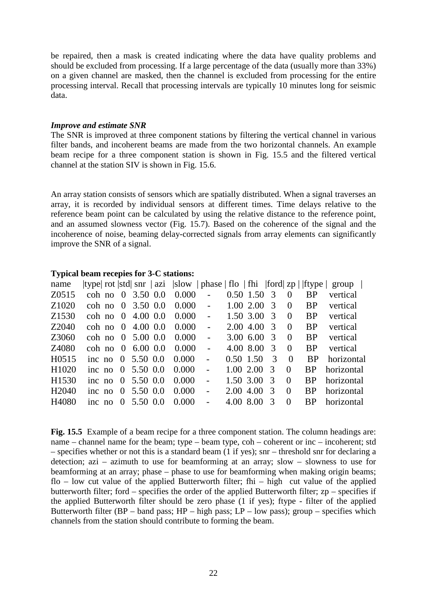be repaired, then a mask is created indicating where the data have quality problems and should be excluded from processing. If a large percentage of the data (usually more than 33%) on a given channel are masked, then the channel is excluded from processing for the entire processing interval. Recall that processing intervals are typically 10 minutes long for seismic data.

### *Improve and estimate SNR*

The SNR is improved at three component stations by filtering the vertical channel in various filter bands, and incoherent beams are made from the two horizontal channels. An example beam recipe for a three component station is shown in Fig. 15.5 and the filtered vertical channel at the station SIV is shown in Fig. 15.6.

An array station consists of sensors which are spatially distributed. When a signal traverses an array, it is recorded by individual sensors at different times. Time delays relative to the reference beam point can be calculated by using the relative distance to the reference point, and an assumed slowness vector (Fig. 15.7). Based on the coherence of the signal and the incoherence of noise, beaming delay-corrected signals from array elements can significantly improve the SNR of a signal.

| name              |  | type  rot  std  snr   azi  slow   phase   flo   fhi   ford  zp     ftype |       |                |                   |               |                |                | group      |
|-------------------|--|--------------------------------------------------------------------------|-------|----------------|-------------------|---------------|----------------|----------------|------------|
| Z0515             |  | coh no $0, 3.50, 0.0, 0.000$ -                                           |       |                | $0.50$ 1.50 3     |               | $\overline{0}$ | <b>BP</b>      | vertical   |
| Z <sub>1020</sub> |  | coh no 0 3.50 0.0 0.000 -                                                |       |                | $1.00$ 2.00 3     |               | $\overline{0}$ | <b>BP</b>      | vertical   |
| Z <sub>1530</sub> |  | coh no 0 4.00 0.0 0.000 -                                                |       |                | 1.50, 3.00, 3     |               | $\overline{0}$ | <b>BP</b>      | vertical   |
| Z2040             |  | coh no $0, 4.00, 0.0$                                                    | 0.000 | $\sim$         | $2.00\,4.00\,3$   |               | $\overline{0}$ | <b>BP</b>      | vertical   |
| Z3060             |  | coh no 0 5.00 0.0                                                        | 0.000 | $\sim$         | $3.00 \t6.00 \t3$ |               | 0              | <b>BP</b>      | vertical   |
| Z4080             |  | coh no 0 6.00 0.0                                                        | 0.000 | $\blacksquare$ | 4.00 8.00         | $\mathcal{R}$ | $\theta$       | <b>BP</b>      | vertical   |
| H0515             |  | inc no 0 5.50 0.0                                                        | 0.000 | $\blacksquare$ | $0.50$ 1.50       | $\mathcal{R}$ | $\theta$       | <b>BP</b>      | horizontal |
| H1020             |  | inc no 0 5.50 0.0                                                        | 0.000 |                | $1.00\ 2.00\ 3$   |               | $\Omega$       | B <sub>P</sub> | horizontal |
| H <sub>1530</sub> |  | inc no 0 5.50 0.0                                                        | 0.000 |                | 1.50, 3.00, 3     |               | $\Omega$       | B <sub>P</sub> | horizontal |
| H <sub>2040</sub> |  | inc no 0 5.50 0.0                                                        | 0.000 | $\mathbf{r}$   | $2.00\,4.00\,3$   |               | $\Omega$       | BP.            | horizontal |
| H4080             |  | inc no 0 5.50 0.0                                                        | 0.000 |                | 4.00 8.00         | $\mathcal{R}$ | $\Omega$       | B <sub>P</sub> | horizontal |
|                   |  |                                                                          |       |                |                   |               |                |                |            |

#### **Typical beam recepies for 3-C stations:**

Fig. 15.5 Example of a beam recipe for a three component station. The column headings are: name – channel name for the beam; type – beam type, coh – coherent or inc – incoherent; std – specifies whether or not this is a standard beam (1 if yes); snr – threshold snr for declaring a detection; azi – azimuth to use for beamforming at an array; slow – slowness to use for beamforming at an array; phase – phase to use for beamforming when making origin beams; flo – low cut value of the applied Butterworth filter; fhi – high cut value of the applied butterworth filter; ford – specifies the order of the applied Butterworth filter;  $zp$  – specifies if the applied Butterworth filter should be zero phase (1 if yes); ftype - filter of the applied Butterworth filter (BP – band pass;  $HP - high$  pass;  $LP - low$  pass); group – specifies which channels from the station should contribute to forming the beam.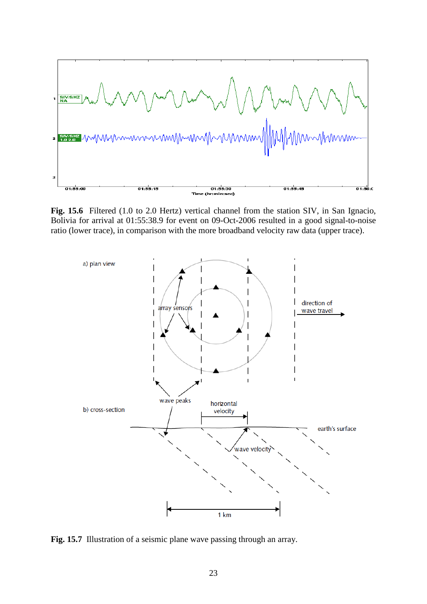

Fig. 15.6 Filtered (1.0 to 2.0 Hertz) vertical channel from the station SIV, in San Ignacio, Bolivia for arrival at 01:55:38.9 for event on 09-Oct-2006 resulted in a good signal-to-noise ratio (lower trace), in comparison with the more broadband velocity raw data (upper trace).



Fig. 15.7 Illustration of a seismic plane wave passing through an array.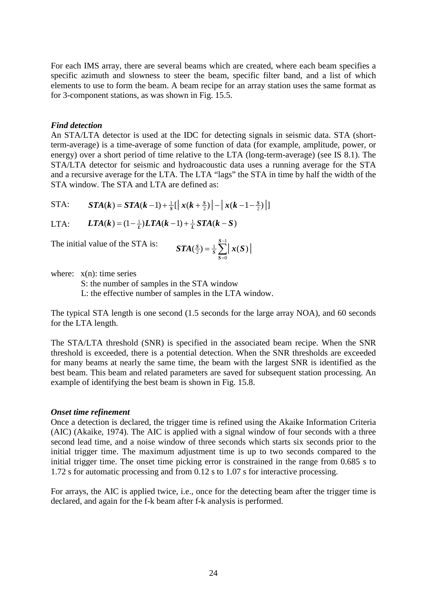For each IMS array, there are several beams which are created, where each beam specifies a specific azimuth and slowness to steer the beam, specific filter band, and a list of which elements to use to form the beam. A beam recipe for an array station uses the same format as for 3-component stations, as was shown in Fig. 15.5.

### *Find detection*

An STA/LTA detector is used at the IDC for detecting signals in seismic data. STA (shortterm-average) is a time-average of some function of data (for example, amplitude, power, or energy) over a short period of time relative to the LTA (long-term-average) (see IS 8.1). The STA/LTA detector for seismic and hydroacoustic data uses a running average for the STA and a recursive average for the LTA. The LTA "lags" the STA in time by half the width of the STA window. The STA and LTA are defined as:

STA: 
$$
\mathbf{STA}(k) = \mathbf{STA}(k-1) + \frac{1}{S} \left[ \left| x(k+\frac{s}{2}) \right| - \left| x(k-1-\frac{s}{2}) \right| \right]
$$

LTA: 
$$
LTA(k) = (1 - \frac{1}{L})LTA(k-1) + \frac{1}{L}STA(k-S)
$$

The initial value of the STA is:

$$
STA(\frac{S}{2}) = \frac{1}{S} \sum_{S=0}^{S-1} |x(S)|
$$

where:  $x(n)$ : time series

S: the number of samples in the STA window

L: the effective number of samples in the LTA window.

The typical STA length is one second (1.5 seconds for the large array NOA), and 60 seconds for the LTA length.

The STA/LTA threshold (SNR) is specified in the associated beam recipe. When the SNR threshold is exceeded, there is a potential detection. When the SNR thresholds are exceeded for many beams at nearly the same time, the beam with the largest SNR is identified as the best beam. This beam and related parameters are saved for subsequent station processing. An example of identifying the best beam is shown in Fig. 15.8.

### *Onset time refinement*

Once a detection is declared, the trigger time is refined using the Akaike Information Criteria (AIC) (Akaike, 1974). The AIC is applied with a signal window of four seconds with a three second lead time, and a noise window of three seconds which starts six seconds prior to the initial trigger time. The maximum adjustment time is up to two seconds compared to the initial trigger time. The onset time picking error is constrained in the range from 0.685 s to 1.72 s for automatic processing and from 0.12 s to 1.07 s for interactive processing.

For arrays, the AIC is applied twice, i.e., once for the detecting beam after the trigger time is declared, and again for the f-k beam after f-k analysis is performed.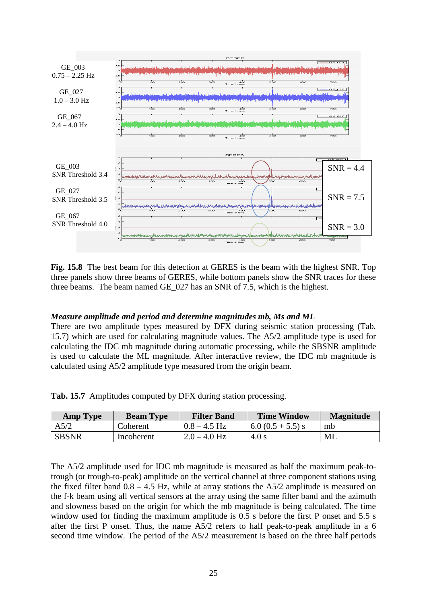

**Fig. 15.8** The best beam for this detection at GERES is the beam with the highest SNR. Top three panels show three beams of GERES, while bottom panels show the SNR traces for these three beams. The beam named GE\_027 has an SNR of 7.5, which is the highest.

### *Measure amplitude and period and determine magnitudes mb, Ms and ML*

There are two amplitude types measured by DFX during seismic station processing (Tab. 15.7) which are used for calculating magnitude values. The A5/2 amplitude type is used for calculating the IDC mb magnitude during automatic processing, while the SBSNR amplitude is used to calculate the ML magnitude. After interactive review, the IDC mb magnitude is calculated using A5/2 amplitude type measured from the origin beam.

|  |  | Tab. 15.7 Amplitudes computed by DFX during station processing. |  |  |
|--|--|-----------------------------------------------------------------|--|--|
|--|--|-----------------------------------------------------------------|--|--|

| <b>Amp Type</b> | <b>Beam Type</b> | <b>Filter Band</b> | <b>Time Window</b>  | <b>Magnitude</b> |
|-----------------|------------------|--------------------|---------------------|------------------|
| A5/2            | Coherent         | $0.8 - 4.5$ Hz     | $6.0 (0.5 + 5.5)$ s | mb               |
| <b>SBSNR</b>    | Incoherent       | $2.0 - 4.0$ Hz     | 4.0 s               | ML               |

The A5/2 amplitude used for IDC mb magnitude is measured as half the maximum peak-totrough (or trough-to-peak) amplitude on the vertical channel at three component stations using the fixed filter band  $0.8 - 4.5$  Hz, while at array stations the  $A5/2$  amplitude is measured on the f-k beam using all vertical sensors at the array using the same filter band and the azimuth and slowness based on the origin for which the mb magnitude is being calculated. The time window used for finding the maximum amplitude is 0.5 s before the first P onset and 5.5 s after the first P onset. Thus, the name A5/2 refers to half peak-to-peak amplitude in a 6 second time window. The period of the A5/2 measurement is based on the three half periods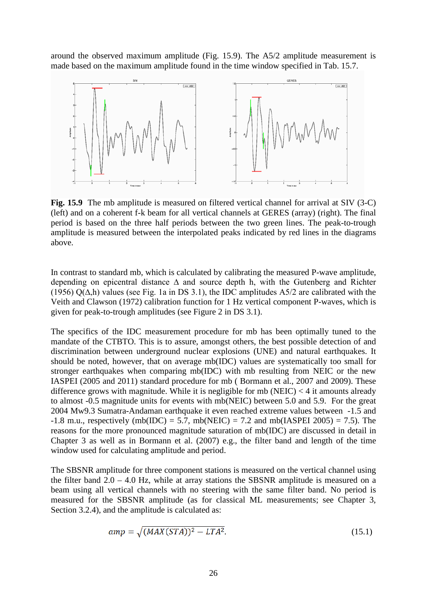around the observed maximum amplitude (Fig. 15.9). The A5/2 amplitude measurement is made based on the maximum amplitude found in the time window specified in Tab. 15.7.



**Fig. 15.9** The mb amplitude is measured on filtered vertical channel for arrival at SIV (3-C) (left) and on a coherent f-k beam for all vertical channels at GERES (array) (right). The final period is based on the three half periods between the two green lines. The peak-to-trough amplitude is measured between the interpolated peaks indicated by red lines in the diagrams above.

In contrast to standard mb, which is calculated by calibrating the measured P-wave amplitude, depending on epicentral distance ∆ and source depth h, with the Gutenberg and Richter (1956) Q( $\Delta$ ,h) values (see Fig. 1a in DS 3.1), the IDC amplitudes A5/2 are calibrated with the Veith and Clawson (1972) calibration function for 1 Hz vertical component P-waves, which is given for peak-to-trough amplitudes (see Figure 2 in DS 3.1).

The specifics of the IDC measurement procedure for mb has been optimally tuned to the mandate of the CTBTO. This is to assure, amongst others, the best possible detection of and discrimination between underground nuclear explosions (UNE) and natural earthquakes. It should be noted, however, that on average mb(IDC) values are systematically too small for stronger earthquakes when comparing mb(IDC) with mb resulting from NEIC or the new IASPEI (2005 and 2011) standard procedure for mb ( Bormann et al., 2007 and 2009). These difference grows with magnitude. While it is negligible for mb (NEIC)  $<$  4 it amounts already to almost -0.5 magnitude units for events with mb(NEIC) between 5.0 and 5.9. For the great 2004 Mw9.3 Sumatra-Andaman earthquake it even reached extreme values between -1.5 and  $-1.8$  m.u., respectively (mb(IDC) = 5.7, mb(NEIC) = 7.2 and mb(IASPEI 2005) = 7.5). The reasons for the more pronounced magnitude saturation of mb(IDC) are discussed in detail in Chapter 3 as well as in Bormann et al. (2007) e.g., the filter band and length of the time window used for calculating amplitude and period.

The SBSNR amplitude for three component stations is measured on the vertical channel using the filter band  $2.0 - 4.0$  Hz, while at array stations the SBSNR amplitude is measured on a beam using all vertical channels with no steering with the same filter band. No period is measured for the SBSNR amplitude (as for classical ML measurements; see Chapter 3, Section 3.2.4), and the amplitude is calculated as:

$$
amp = \sqrt{(MAX(STA))^2 - LTA^2}.
$$
\n(15.1)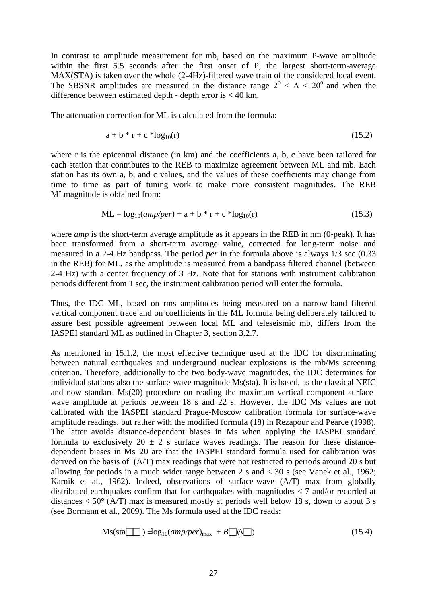In contrast to amplitude measurement for mb, based on the maximum P-wave amplitude within the first 5.5 seconds after the first onset of P, the largest short-term-average MAX(STA) is taken over the whole (2-4Hz)-filtered wave train of the considered local event. The SBSNR amplitudes are measured in the distance range  $2^{\circ} < \Delta < 20^{\circ}$  and when the difference between estimated depth - depth error is  $<$  40 km.

The attenuation correction for ML is calculated from the formula:

$$
a + b * r + c * log_{10}(r)
$$
 (15.2)

where r is the epicentral distance (in km) and the coefficients a, b, c have been tailored for each station that contributes to the REB to maximize agreement between ML and mb. Each station has its own a, b, and c values, and the values of these coefficients may change from time to time as part of tuning work to make more consistent magnitudes. The REB MLmagnitude is obtained from:

$$
ML = log_{10}(amp/per) + a + b * r + c * log_{10}(r)
$$
\n(15.3)

where *amp* is the short-term average amplitude as it appears in the REB in nm (0-peak). It has been transformed from a short-term average value, corrected for long-term noise and measured in a 2-4 Hz bandpass. The period *per* in the formula above is always 1/3 sec (0.33 in the REB) for ML, as the amplitude is measured from a bandpass filtered channel (between 2-4 Hz) with a center frequency of 3 Hz. Note that for stations with instrument calibration periods different from 1 sec, the instrument calibration period will enter the formula.

Thus, the IDC ML, based on rms amplitudes being measured on a narrow-band filtered vertical component trace and on coefficients in the ML formula being deliberately tailored to assure best possible agreement between local ML and teleseismic mb, differs from the IASPEI standard ML as outlined in Chapter 3, section 3.2.7.

As mentioned in 15.1.2, the most effective technique used at the IDC for discriminating between natural earthquakes and underground nuclear explosions is the mb/Ms screening criterion. Therefore, additionally to the two body-wave magnitudes, the IDC determines for individual stations also the surface-wave magnitude Ms(sta). It is based, as the classical NEIC and now standard Ms(20) procedure on reading the maximum vertical component surfacewave amplitude at periods between 18 s and 22 s. However, the IDC Ms values are not calibrated with the IASPEI standard Prague-Moscow calibration formula for surface-wave amplitude readings, but rather with the modified formula (18) in Rezapour and Pearce (1998). The latter avoids distance-dependent biases in Ms when applying the IASPEI standard formula to exclusively  $20 \pm 2$  s surface waves readings. The reason for these distancedependent biases in Ms\_20 are that the IASPEI standard formula used for calibration was derived on the basis of (A/T) max readings that were not restricted to periods around 20 s but allowing for periods in a much wider range between 2 s and < 30 s (see Vanek et al., 1962; Karnik et al., 1962). Indeed, observations of surface-wave (A/T) max from globally distributed earthquakes confirm that for earthquakes with magnitudes  $\langle 7 \rangle$  and/or recorded at distances  $< 50^{\circ}$  (A/T) max is measured mostly at periods well below 18 s, down to about 3 s (see Bormann et al., 2009). The Ms formula used at the IDC reads:

$$
Ms(sta \boxed{\Box}) = \log_{10}(amp/per)_{max} + B \boxed{\Diamond \Box})
$$
\n(15.4)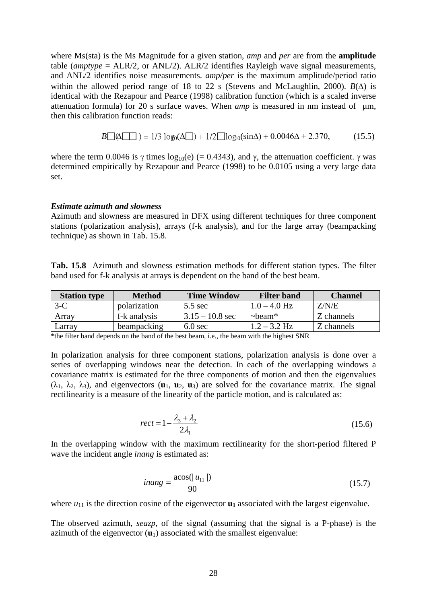where Ms(sta) is the Ms Magnitude for a given station, *amp* and *per* are from the **amplitude**  table (*amptype* = ALR/2, or ANL/2). ALR/2 identifies Rayleigh wave signal measurements, and ANL/2 identifies noise measurements. *amp/per* is the maximum amplitude/period ratio within the allowed period range of 18 to 22 s [\(Stevens](https://springerlink3.metapress.com/content/?Author=J.+L.+Stevens) and [McLaughlin,](https://springerlink3.metapress.com/content/?Author=K.+L.+McLaughlin) 2000).  $B(\Delta)$  is identical with the Rezapour and Pearce (1998) calibration function (which is a scaled inverse attenuation formula) for 20 s surface waves. When *amp* is measured in nm instead of um, then this calibration function reads:

$$
B\Box(\Delta \Box) = 1/3 \log_0(\Delta \Box) + 1/2 \Box \log_0(\sin \Delta) + 0.0046\Delta + 2.370, \tag{15.5}
$$

where the term 0.0046 is  $\gamma$  times log<sub>10</sub>(e) (= 0.4343), and  $\gamma$ , the attenuation coefficient.  $\gamma$  was determined empirically by Rezapour and Pearce (1998) to be 0.0105 using a very large data set.

#### *Estimate azimuth and slowness*

Azimuth and slowness are measured in DFX using different techniques for three component stations (polarization analysis), arrays (f-k analysis), and for the large array (beampacking technique) as shown in Tab. 15.8.

**Tab. 15.8** Azimuth and slowness estimation methods for different station types. The filter band used for f-k analysis at arrays is dependent on the band of the best beam.

| <b>Station type</b> | <b>Method</b> | <b>Time Window</b> | <b>Filter band</b> | <b>Channel</b> |
|---------------------|---------------|--------------------|--------------------|----------------|
| $3-C$               | polarization  | $5.5 \text{ sec}$  | $1.0 - 4.0$ Hz     | Z/N/E          |
| Array               | f-k analysis  | $3.15 - 10.8$ sec  | $\sim$ beam*       | Z channels     |
| Larrav              | beampacking   | $6.0$ sec          | $1.2 - 3.2$ Hz     | Z channels     |

<sup>\*</sup>the filter band depends on the band of the best beam, i.e., the beam with the highest SNR

In polarization analysis for three component stations, polarization analysis is done over a series of overlapping windows near the detection. In each of the overlapping windows a covariance matrix is estimated for the three components of motion and then the eigenvalues  $(\lambda_1, \lambda_2, \lambda_3)$ , and eigenvectors  $(\mathbf{u}_1, \mathbf{u}_2, \mathbf{u}_3)$  are solved for the covariance matrix. The signal rectilinearity is a measure of the linearity of the particle motion, and is calculated as:

$$
rect = 1 - \frac{\lambda_3 + \lambda_2}{2\lambda_1} \tag{15.6}
$$

In the overlapping window with the maximum rectilinearity for the short-period filtered P wave the incident angle *inang* is estimated as:

$$
inang = \frac{\text{acos}(|u_{11}|)}{90} \tag{15.7}
$$

where  $u_{11}$  is the direction cosine of the eigenvector  $\mathbf{u}_1$  associated with the largest eigenvalue.

The observed azimuth, *seazp,* of the signal (assuming that the signal is a P-phase) is the azimuth of the eigenvector  $(\mathbf{u}_1)$  associated with the smallest eigenvalue: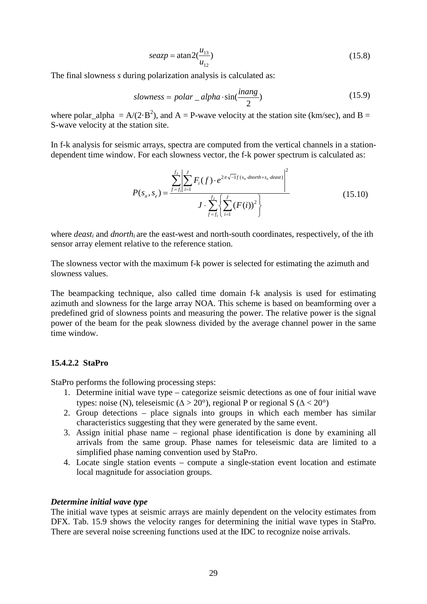$$
seazp = \text{atan2}(\frac{u_{13}}{u_{12}})
$$
 (15.8)

The final slowness *s* during polarization analysis is calculated as:

$$
slowness = polar\_alpha \cdot \sin(\frac{inang}{2})
$$
\n(15.9)

where polar\_alpha =  $A/(2 \cdot B^2)$ , and A = P-wave velocity at the station site (km/sec), and B = S-wave velocity at the station site.

In f-k analysis for seismic arrays, spectra are computed from the vertical channels in a stationdependent time window. For each slowness vector, the f-k power spectrum is calculated as:

$$
P(s_n, s_e) = \frac{\sum_{f=f_1}^{f_2} \left| \sum_{i=1}^{J} F_i(f) \cdot e^{2\pi \sqrt{-1}f(s_n \cdot \text{dnorth} + s_e \cdot \text{deast})} \right|^2}{J \cdot \sum_{f=f_1}^{f_2} \left\{ \sum_{i=1}^{J} (F(i))^2 \right\}}
$$
(15.10)

where *deast<sub>i</sub>* and *dnorth<sub>i</sub>* are the east-west and north-south coordinates, respectively, of the ith sensor array element relative to the reference station.

The slowness vector with the maximum f-k power is selected for estimating the azimuth and slowness values.

The beampacking technique, also called time domain f-k analysis is used for estimating azimuth and slowness for the large array NOA. This scheme is based on beamforming over a predefined grid of slowness points and measuring the power. The relative power is the signal power of the beam for the peak slowness divided by the average channel power in the same time window.

### **15.4.2.2 StaPro**

StaPro performs the following processing steps:

- 1. Determine initial wave type categorize seismic detections as one of four initial wave types: noise (N), teleseismic ( $\Delta > 20^{\circ}$ ), regional P or regional S ( $\Delta < 20^{\circ}$ )
- 2. Group detections place signals into groups in which each member has similar characteristics suggesting that they were generated by the same event.
- 3. Assign initial phase name regional phase identification is done by examining all arrivals from the same group. Phase names for teleseismic data are limited to a simplified phase naming convention used by StaPro.
- 4. Locate single station events compute a single-station event location and estimate local magnitude for association groups.

#### *Determine initial wave type*

The initial wave types at seismic arrays are mainly dependent on the velocity estimates from DFX. Tab. 15.9 shows the velocity ranges for determining the initial wave types in StaPro. There are several noise screening functions used at the IDC to recognize noise arrivals.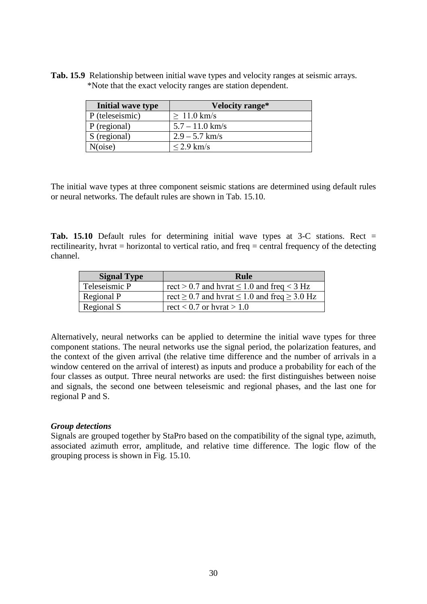**Tab. 15.9** Relationship between initial wave types and velocity ranges at seismic arrays. \*Note that the exact velocity ranges are station dependent.

| Initial wave type | Velocity range*   |
|-------------------|-------------------|
| P (teleseismic)   | $\geq 11.0$ km/s  |
| P (regional)      | $5.7 - 11.0$ km/s |
| S (regional)      | $2.9 - 5.7$ km/s  |
| N(oise)           | $\leq$ 2.9 km/s   |

The initial wave types at three component seismic stations are determined using default rules or neural networks. The default rules are shown in Tab. 15.10.

**Tab. 15.10** Default rules for determining initial wave types at 3-C stations. Rect = rectilinearity, hvrat = horizontal to vertical ratio, and freq = central frequency of the detecting channel.

| <b>Signal Type</b> | Rule                                                        |
|--------------------|-------------------------------------------------------------|
| Teleseismic P      | rect > 0.7 and hvrat $\leq$ 1.0 and freq < 3 Hz             |
| Regional P         | rect $\geq$ 0.7 and hvrat $\leq$ 1.0 and freq $\geq$ 3.0 Hz |
| Regional S         | rect $< 0.7$ or hyrat $> 1.0$                               |

Alternatively, neural networks can be applied to determine the initial wave types for three component stations. The neural networks use the signal period, the polarization features, and the context of the given arrival (the relative time difference and the number of arrivals in a window centered on the arrival of interest) as inputs and produce a probability for each of the four classes as output. Three neural networks are used: the first distinguishes between noise and signals, the second one between teleseismic and regional phases, and the last one for regional P and S.

### *Group detections*

Signals are grouped together by StaPro based on the compatibility of the signal type, azimuth, associated azimuth error, amplitude, and relative time difference. The logic flow of the grouping process is shown in Fig. 15.10.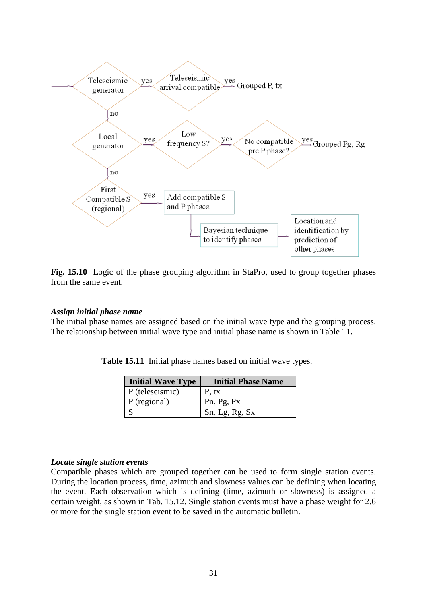

Fig. 15.10 Logic of the phase grouping algorithm in StaPro, used to group together phases from the same event.

#### *Assign initial phase name*

The initial phase names are assigned based on the initial wave type and the grouping process. The relationship between initial wave type and initial phase name is shown in Table 11.

|  | $\mathbf{L}$ : $\mathbf{L}$ : $\mathbf{L}$                   |  | $\mathbf{L}$ : $\mathbf{L}$ of $\mathbf{L}$ |  |
|--|--------------------------------------------------------------|--|---------------------------------------------|--|
|  | Table 15.11 Initial phase names based on initial wave types. |  |                                             |  |

| <b>Initial Wave Type</b> | <b>Initial Phase Name</b> |
|--------------------------|---------------------------|
| $\vert$ P (teleseismic)  | P, tx                     |
| P (regional)             | Pn, Pg, Px                |
|                          | Sn, Lg, Rg, Sx            |

### *Locate single station events*

Compatible phases which are grouped together can be used to form single station events. During the location process, time, azimuth and slowness values can be defining when locating the event. Each observation which is defining (time, azimuth or slowness) is assigned a certain weight, as shown in Tab. 15.12. Single station events must have a phase weight for 2.6 or more for the single station event to be saved in the automatic bulletin.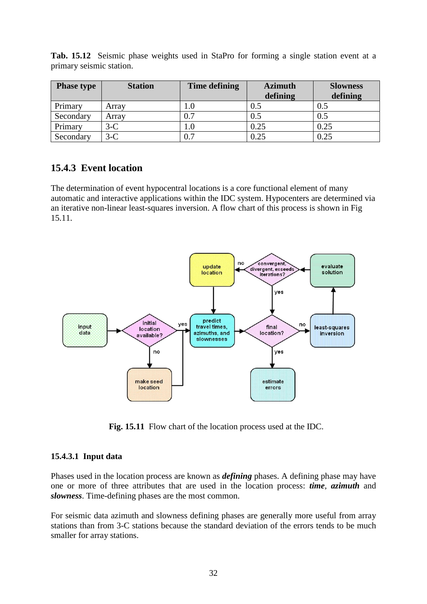| <b>Phase type</b> | <b>Station</b> | Time defining | <b>Azimuth</b> | <b>Slowness</b> |
|-------------------|----------------|---------------|----------------|-----------------|
|                   |                |               | defining       | defining        |
| Primary           | Arrav          | $1.0\,$       | 0.5            | $0.5\,$         |
| Secondary         | Arrav          | 0.7           | $0.5\,$        | 0.5             |
| Primary           | $3-C$          | $1.0\,$       | 0.25           | 0.25            |
| Secondary         | $3-C$          | 0.7           | 0.25           | 0.25            |

**Tab. 15.12** Seismic phase weights used in StaPro for forming a single station event at a primary seismic station.

# **15.4.3 Event location**

The determination of event hypocentral locations is a core functional element of many automatic and interactive applications within the IDC system. Hypocenters are determined via an iterative non-linear least-squares inversion. A flow chart of this process is shown in Fig 15.11.



 **Fig. 15.11** Flow chart of the location process used at the IDC.

### **15.4.3.1 Input data**

Phases used in the location process are known as *defining* phases. A defining phase may have one or more of three attributes that are used in the location process: *time*, *azimuth* and *slowness*. Time-defining phases are the most common.

For seismic data azimuth and slowness defining phases are generally more useful from array stations than from 3-C stations because the standard deviation of the errors tends to be much smaller for array stations.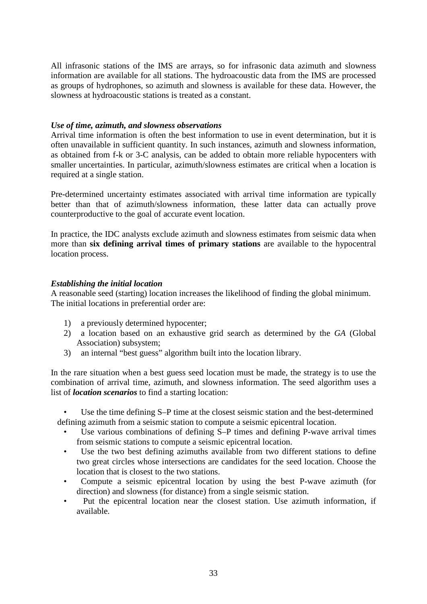All infrasonic stations of the IMS are arrays, so for infrasonic data azimuth and slowness information are available for all stations. The hydroacoustic data from the IMS are processed as groups of hydrophones, so azimuth and slowness is available for these data. However, the slowness at hydroacoustic stations is treated as a constant.

### *Use of time, azimuth, and slowness observations*

Arrival time information is often the best information to use in event determination, but it is often unavailable in sufficient quantity. In such instances, azimuth and slowness information, as obtained from f-k or 3-C analysis, can be added to obtain more reliable hypocenters with smaller uncertainties. In particular, azimuth/slowness estimates are critical when a location is required at a single station.

Pre-determined uncertainty estimates associated with arrival time information are typically better than that of azimuth/slowness information, these latter data can actually prove counterproductive to the goal of accurate event location.

In practice, the IDC analysts exclude azimuth and slowness estimates from seismic data when more than **six defining arrival times of primary stations** are available to the hypocentral location process.

### *Establishing the initial location*

A reasonable seed (starting) location increases the likelihood of finding the global minimum. The initial locations in preferential order are:

- 1) a previously determined hypocenter;
- 2) a location based on an exhaustive grid search as determined by the *GA* (Global Association) subsystem;
- 3) an internal "best guess" algorithm built into the location library.

In the rare situation when a best guess seed location must be made, the strategy is to use the combination of arrival time, azimuth, and slowness information. The seed algorithm uses a list of *location scenarios* to find a starting location:

• Use the time defining S–P time at the closest seismic station and the best-determined defining azimuth from a seismic station to compute a seismic epicentral location.

- Use various combinations of defining S–P times and defining P-wave arrival times from seismic stations to compute a seismic epicentral location.
- Use the two best defining azimuths available from two different stations to define two great circles whose intersections are candidates for the seed location. Choose the location that is closest to the two stations.
- Compute a seismic epicentral location by using the best P-wave azimuth (for direction) and slowness (for distance) from a single seismic station.
- Put the epicentral location near the closest station. Use azimuth information, if available.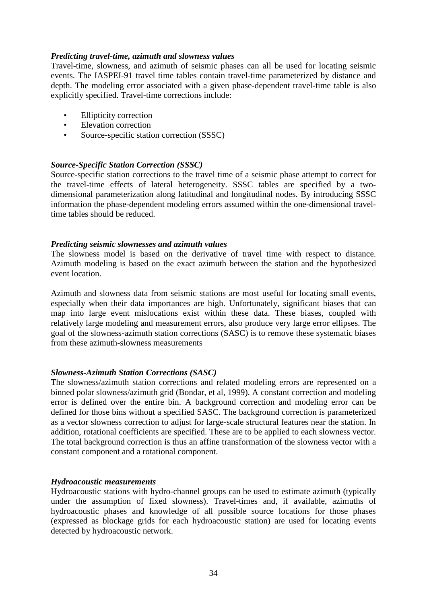### *Predicting travel-time, azimuth and slowness values*

Travel-time, slowness, and azimuth of seismic phases can all be used for locating seismic events. The IASPEI-91 travel time tables contain travel-time parameterized by distance and depth. The modeling error associated with a given phase-dependent travel-time table is also explicitly specified. Travel-time corrections include:

- **Ellipticity correction**
- Elevation correction
- Source-specific station correction (SSSC)

### *Source-Specific Station Correction (SSSC)*

Source-specific station corrections to the travel time of a seismic phase attempt to correct for the travel-time effects of lateral heterogeneity. SSSC tables are specified by a twodimensional parameterization along latitudinal and longitudinal nodes. By introducing SSSC information the phase-dependent modeling errors assumed within the one-dimensional traveltime tables should be reduced.

### *Predicting seismic slownesses and azimuth values*

The slowness model is based on the derivative of travel time with respect to distance. Azimuth modeling is based on the exact azimuth between the station and the hypothesized event location.

Azimuth and slowness data from seismic stations are most useful for locating small events, especially when their data importances are high. Unfortunately, significant biases that can map into large event mislocations exist within these data. These biases, coupled with relatively large modeling and measurement errors, also produce very large error ellipses. The goal of the slowness-azimuth station corrections (SASC) is to remove these systematic biases from these azimuth-slowness measurements

### *Slowness-Azimuth Station Corrections (SASC)*

The slowness/azimuth station corrections and related modeling errors are represented on a binned polar slowness/azimuth grid (Bondar, et al, 1999). A constant correction and modeling error is defined over the entire bin. A background correction and modeling error can be defined for those bins without a specified SASC. The background correction is parameterized as a vector slowness correction to adjust for large-scale structural features near the station. In addition, rotational coefficients are specified. These are to be applied to each slowness vector. The total background correction is thus an affine transformation of the slowness vector with a constant component and a rotational component.

### *Hydroacoustic measurements*

Hydroacoustic stations with hydro-channel groups can be used to estimate azimuth (typically under the assumption of fixed slowness). Travel-times and, if available, azimuths of hydroacoustic phases and knowledge of all possible source locations for those phases (expressed as blockage grids for each hydroacoustic station) are used for locating events detected by hydroacoustic network.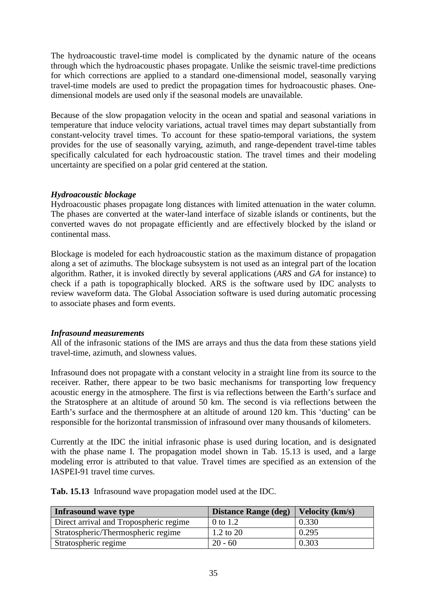The hydroacoustic travel-time model is complicated by the dynamic nature of the oceans through which the hydroacoustic phases propagate. Unlike the seismic travel-time predictions for which corrections are applied to a standard one-dimensional model, seasonally varying travel-time models are used to predict the propagation times for hydroacoustic phases. Onedimensional models are used only if the seasonal models are unavailable.

Because of the slow propagation velocity in the ocean and spatial and seasonal variations in temperature that induce velocity variations, actual travel times may depart substantially from constant-velocity travel times. To account for these spatio-temporal variations, the system provides for the use of seasonally varying, azimuth, and range-dependent travel-time tables specifically calculated for each hydroacoustic station. The travel times and their modeling uncertainty are specified on a polar grid centered at the station.

### *Hydroacoustic blockage*

Hydroacoustic phases propagate long distances with limited attenuation in the water column. The phases are converted at the water-land interface of sizable islands or continents, but the converted waves do not propagate efficiently and are effectively blocked by the island or continental mass.

Blockage is modeled for each hydroacoustic station as the maximum distance of propagation along a set of azimuths. The blockage subsystem is not used as an integral part of the location algorithm. Rather, it is invoked directly by several applications (*ARS* and *GA* for instance) to check if a path is topographically blocked. ARS is the software used by IDC analysts to review waveform data. The Global Association software is used during automatic processing to associate phases and form events.

### *Infrasound measurements*

All of the infrasonic stations of the IMS are arrays and thus the data from these stations yield travel-time, azimuth, and slowness values.

Infrasound does not propagate with a constant velocity in a straight line from its source to the receiver. Rather, there appear to be two basic mechanisms for transporting low frequency acoustic energy in the atmosphere. The first is via reflections between the Earth's surface and the Stratosphere at an altitude of around 50 km. The second is via reflections between the Earth's surface and the thermosphere at an altitude of around 120 km. This 'ducting' can be responsible for the horizontal transmission of infrasound over many thousands of kilometers.

Currently at the IDC the initial infrasonic phase is used during location, and is designated with the phase name I. The propagation model shown in Tab. 15.13 is used, and a large modeling error is attributed to that value. Travel times are specified as an extension of the IASPEI-91 travel time curves.

| Tab. 15.13 Infrasound wave propagation model used at the IDC. |  |
|---------------------------------------------------------------|--|
|---------------------------------------------------------------|--|

| <b>Infrasound wave type</b>            | Distance Range (deg)   Velocity (km/s) |       |
|----------------------------------------|----------------------------------------|-------|
| Direct arrival and Tropospheric regime | $\vert 0$ to 1.2                       | 0.330 |
| Stratospheric/Thermospheric regime     | $1.2$ to $20$                          | 0.295 |
| Stratospheric regime                   | $20 - 60$                              | 0.303 |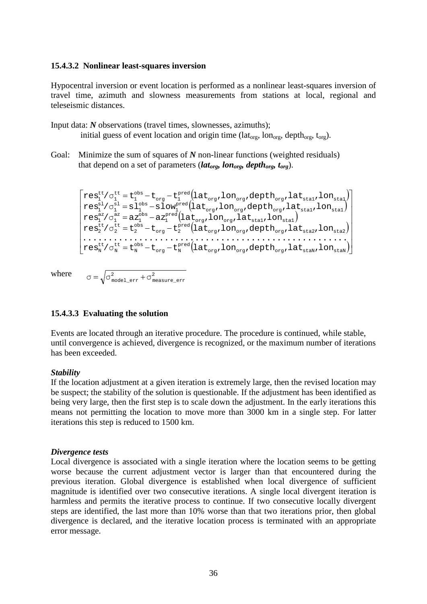#### **15.4.3.2 Nonlinear least-squares inversion**

Hypocentral inversion or event location is performed as a nonlinear least-squares inversion of travel time, azimuth and slowness measurements from stations at local, regional and teleseismic distances.

Input data: *N* observations (travel times, slownesses, azimuths); initial guess of event location and origin time (lat<sub>org</sub>, lon<sub>org</sub>, depth<sub>org</sub>, t<sub>org</sub>).

Goal: Minimize the sum of squares of *N* non-linear functions (weighted residuals) that depend on a set of parameters (*lat<sub>org</sub>, lon<sub>org</sub>, depth<sub>org</sub>, t<sub>org</sub>*).

( ) ( ) ( ) ( ) ( ) = − − = − − = − = − = − − org org org staN staN pred org N obs N tt N tt N org org org sta2 sta2 pred org 2 obs 2 tt 2 tt 2 org org sta1 sta1 pred 1 obs 1 az 1 az 1 org org org sta1 sta1 pred 1 obs 1 sl 1 sl 1 org org org sta1 sta1 pred org 1 obs 1 tt 1 tt 1 res /σ t t t lat ,lon ,depth ,lat ,lon .................................................... res /σ t t t lat ,lon ,depth ,lat ,lon res /σ az az lat ,lon ,lat ,lon res /σ sl slow lat ,lon ,depth ,lat ,lon res /σ t t t lat ,lon ,depth ,lat ,lon

where

# $\sigma$  =  $\sqrt{\sigma_{\tt model\_err}^2 + \sigma_{\tt measure\_err}^2}$

2

### **15.4.3.3 Evaluating the solution**

Events are located through an iterative procedure. The procedure is continued, while stable, until convergence is achieved, divergence is recognized, or the maximum number of iterations has been exceeded.

### *Stability*

If the location adjustment at a given iteration is extremely large, then the revised location may be suspect; the stability of the solution is questionable. If the adjustment has been identified as being very large, then the first step is to scale down the adjustment. In the early iterations this means not permitting the location to move more than 3000 km in a single step. For latter iterations this step is reduced to 1500 km.

### *Divergence tests*

Local divergence is associated with a single iteration where the location seems to be getting worse because the current adjustment vector is larger than that encountered during the previous iteration. Global divergence is established when local divergence of sufficient magnitude is identified over two consecutive iterations. A single local divergent iteration is harmless and permits the iterative process to continue. If two consecutive locally divergent steps are identified, the last more than 10% worse than that two iterations prior, then global divergence is declared, and the iterative location process is terminated with an appropriate error message.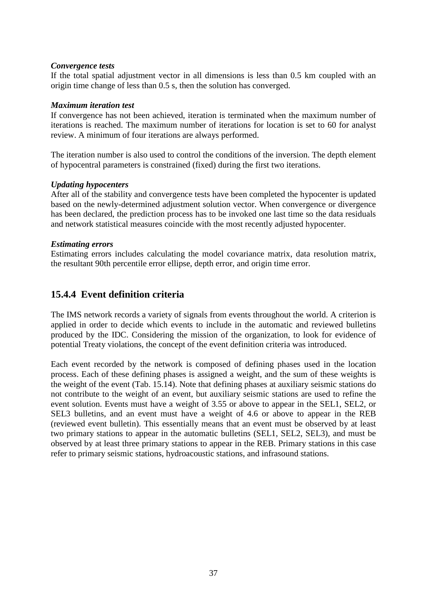### *Convergence tests*

If the total spatial adjustment vector in all dimensions is less than 0.5 km coupled with an origin time change of less than 0.5 s, then the solution has converged.

### *Maximum iteration test*

If convergence has not been achieved, iteration is terminated when the maximum number of iterations is reached. The maximum number of iterations for location is set to 60 for analyst review. A minimum of four iterations are always performed.

The iteration number is also used to control the conditions of the inversion. The depth element of hypocentral parameters is constrained (fixed) during the first two iterations.

### *Updating hypocenters*

After all of the stability and convergence tests have been completed the hypocenter is updated based on the newly-determined adjustment solution vector. When convergence or divergence has been declared, the prediction process has to be invoked one last time so the data residuals and network statistical measures coincide with the most recently adjusted hypocenter.

### *Estimating errors*

Estimating errors includes calculating the model covariance matrix, data resolution matrix, the resultant 90th percentile error ellipse, depth error, and origin time error.

# **15.4.4 Event definition criteria**

The IMS network records a variety of signals from events throughout the world. A criterion is applied in order to decide which events to include in the automatic and reviewed bulletins produced by the IDC. Considering the mission of the organization, to look for evidence of potential Treaty violations, the concept of the event definition criteria was introduced.

Each event recorded by the network is composed of defining phases used in the location process. Each of these defining phases is assigned a weight, and the sum of these weights is the weight of the event (Tab. 15.14). Note that defining phases at auxiliary seismic stations do not contribute to the weight of an event, but auxiliary seismic stations are used to refine the event solution. Events must have a weight of 3.55 or above to appear in the SEL1, SEL2, or SEL3 bulletins, and an event must have a weight of 4.6 or above to appear in the REB (reviewed event bulletin). This essentially means that an event must be observed by at least two primary stations to appear in the automatic bulletins (SEL1, SEL2, SEL3), and must be observed by at least three primary stations to appear in the REB. Primary stations in this case refer to primary seismic stations, hydroacoustic stations, and infrasound stations.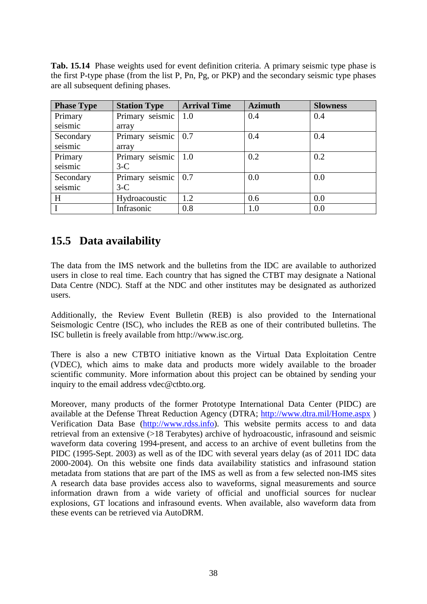**Tab. 15.14** Phase weights used for event definition criteria. A primary seismic type phase is the first P-type phase (from the list P, Pn, Pg, or PKP) and the secondary seismic type phases are all subsequent defining phases.

| <b>Phase Type</b> | <b>Station Type</b>   | <b>Arrival Time</b> | <b>Azimuth</b> | <b>Slowness</b> |
|-------------------|-----------------------|---------------------|----------------|-----------------|
| Primary           | Primary seismic       | 1.0                 | 0.4            | 0.4             |
| seismic           | array                 |                     |                |                 |
| Secondary         | Primary seismic   0.7 |                     | 0.4            | 0.4             |
| seismic           | array                 |                     |                |                 |
| Primary           | Primary seismic       | 1.0                 | 0.2            | 0.2             |
| seismic           | $3-C$                 |                     |                |                 |
| Secondary         | Primary seismic       | 0.7                 | 0.0            | 0.0             |
| seismic           | $3-C$                 |                     |                |                 |
| H                 | Hydroacoustic         | 1.2                 | 0.6            | 0.0             |
|                   | Infrasonic            | 0.8                 | 1.0            | 0.0             |

# **15.5 Data availability**

The data from the IMS network and the bulletins from the IDC are available to authorized users in close to real time. Each country that has signed the CTBT may designate a National Data Centre (NDC). Staff at the NDC and other institutes may be designated as authorized users.

Additionally, the Review Event Bulletin (REB) is also provided to the International Seismologic Centre (ISC), who includes the REB as one of their contributed bulletins. The ISC bulletin is freely available from http://www.isc.org.

There is also a new CTBTO initiative known as the Virtual Data Exploitation Centre (VDEC), which aims to make data and products more widely available to the broader scientific community. More information about this project can be obtained by sending your inquiry to the email address vdec@ctbto.org.

Moreover, many products of the former Prototype International Data Center (PIDC) are available at the [Defense Threat Reduction Agency](http://www.dtra.mil/) (DTRA;<http://www.dtra.mil/Home.aspx> ) Verification Data Base [\(http://www.rdss.info\)](http://www.rdss.info/). This website permits access to and data retrieval from an extensive (>18 Terabytes) archive of hydroacoustic, infrasound and seismic waveform data covering 1994-present, and access to an archive of event bulletins from the PIDC (1995-Sept. 2003) as well as of the IDC with several years delay (as of 2011 IDC data 2000-2004). On this website one finds data availability statistics and infrasound station metadata from stations that are part of the IMS as well as from a few selected non-IMS sites A research data base provides access also to waveforms, signal measurements and source information drawn from a wide variety of official and unofficial sources for nuclear explosions, GT locations and infrasound events. When available, also waveform data from these events can be retrieved via AutoDRM.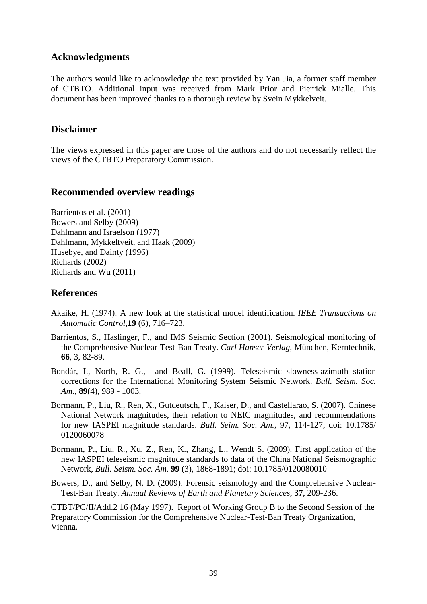# **Acknowledgments**

The authors would like to acknowledge the text provided by Yan Jia, a former staff member of CTBTO. Additional input was received from Mark Prior and Pierrick Mialle. This document has been improved thanks to a thorough review by Svein Mykkelveit.

## **Disclaimer**

The views expressed in this paper are those of the authors and do not necessarily reflect the views of the CTBTO Preparatory Commission.

# **Recommended overview readings**

Barrientos et al. (2001) Bowers and Selby (2009) Dahlmann and Israelson (1977) Dahlmann, Mykkeltveit, and Haak (2009) Husebye, and Dainty (1996) Richards (2002) Richards and Wu (2011)

# **References**

- Akaike, H. (1974). A new look at the statistical model identification. *IEEE Transactions on Automatic Control*,**19** (6), 716–723.
- Barrientos, S., Haslinger, F., and IMS Seismic Section (2001). Seismological monitoring of the Comprehensive Nuclear-Test-Ban Treaty. *Carl Hanser Verlag*, München, Kerntechnik, **66**, 3, 82-89.
- Bondár, I., North, R. G., and Beall, G. (1999). Teleseismic slowness-azimuth station corrections for the International Monitoring System Seismic Network. *Bull. Seism. Soc. Am.*, **89**(4), 989 - 1003.
- Bormann, P., Liu, R., Ren, X., Gutdeutsch, F., Kaiser, D., and Castellarao, S. (2007). Chinese National Network magnitudes, their relation to NEIC magnitudes, and recommendations for new IASPEI magnitude standards. *Bull. Seim. Soc. Am.*, 97, 114-127; doi: 10.1785/ 0120060078
- Bormann, P., Liu, R., Xu, Z., Ren, K., Zhang, L., Wendt S. (2009). First application of the new IASPEI teleseismic magnitude standards to data of the China National Seismographic Network, *Bull. Seism. Soc. Am.* **99** (3), 1868-1891; doi: 10.1785/0120080010
- Bowers, D., and Selby, N. D. (2009). Forensic seismology and the Comprehensive Nuclear-Test-Ban Treaty. *Annual Reviews of Earth and Planetary Sciences*, **37**, 209-236.

CTBT/PC/II/Add.2 16 (May 1997). Report of Working Group B to the Second Session of the Preparatory Commission for the Comprehensive Nuclear-Test-Ban Treaty Organization, Vienna.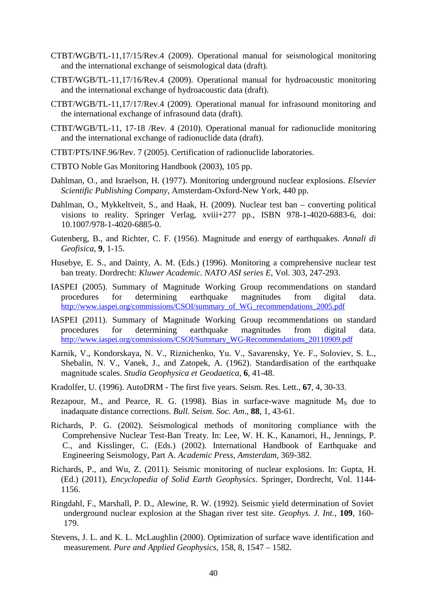- CTBT/WGB/TL-11,17/15/Rev.4 (2009). Operational manual for seismological monitoring and the international exchange of seismological data (draft).
- CTBT/WGB/TL-11,17/16/Rev.4 (2009). Operational manual for hydroacoustic monitoring and the international exchange of hydroacoustic data (draft).
- CTBT/WGB/TL-11,17/17/Rev.4 (2009). Operational manual for infrasound monitoring and the international exchange of infrasound data (draft).
- CTBT/WGB/TL-11, 17-18 /Rev. 4 (2010). Operational manual for radionuclide monitoring and the international exchange of radionuclide data (draft).
- CTBT/PTS/INF.96/Rev. 7 (2005). Certification of radionuclide laboratories.
- CTBTO Noble Gas Monitoring Handbook (2003), 105 pp.
- Dahlman, O., and Israelson, H. (1977). Monitoring underground nuclear explosions. *Elsevier Scientific Publishing Company*, Amsterdam-Oxford-New York, 440 pp.
- Dahlman, O., Mykkeltveit, S., and Haak, H. (2009). Nuclear test ban converting political visions to reality. Springer Verlag, xviii+277 pp., ISBN 978-1-4020-6883-6, doi: 10.1007/978-1-4020-6885-0.
- Gutenberg, B., and Richter, C. F. (1956). Magnitude and energy of earthquakes. *Annali di Geofisica*, **9**, 1-15.
- Husebye, E. S., and Dainty, A. M. (Eds.) (1996). Monitoring a comprehensive nuclear test ban treaty. Dordrecht: *Kluwer Academic. NATO ASI series E*, Vol. 303, 247-293.
- IASPEI (2005). Summary of Magnitude Working Group recommendations on standard procedures for determining earthquake magnitudes from digital data. [http://www.iaspei.org/commissions/CSOI/summary\\_of\\_WG\\_recommendations\\_2005.pdf](http://www.iaspei.org/commissions/CSOI/summary_of_WG_recommendations_2005.pdf)
- IASPEI (2011). Summary of Magnitude Working Group recommendations on standard procedures for determining earthquake magnitudes from digital data. [http://www.iaspei.org/commissions/CSOI/Summary\\_WG-Recommendations\\_20110909.pdf](http://www.iaspei.org/commissions/CSOI/Summary_WG-Recommendations_20110909.pdf)
- Karnik, V., Kondorskaya, N. V., Riznichenko, Yu. V., Savarensky, Ye. F., Soloviev, S. L., Shebalin, N. V., Vanek, J., and Zatopek, A. (1962). Standardisation of the earthquake magnitude scales. *Studia Geophysica et Geodaetica*, **6**, 41-48.
- Kradolfer, U. (1996). AutoDRM The first five years. Seism. Res. Lett., **67**, 4, 30-33.
- Rezapour, M., and Pearce, R. G. (1998). Bias in surface-wave magnitude  $M_s$  due to inadaquate distance corrections. *Bull. Seism. Soc. Am*., **88**, 1, 43-61.
- Richards, P. G. (2002). Seismological methods of monitoring compliance with the Comprehensive Nuclear Test-Ban Treaty. In: Lee, W. H. K., Kanamori, H., Jennings, P. C., and Kisslinger, C. (Eds.) (2002). International Handbook of Earthquake and Engineering Seismology, Part A. *Academic Press, Amsterdam,* 369-382.
- Richards, P., and Wu, Z. (2011). Seismic monitoring of nuclear explosions. In: Gupta, H. (Ed.) (2011), *Encyclopedia of Solid Earth Geophysics*. Springer, Dordrecht, Vol. 1144- 1156.
- Ringdahl, F., Marshall, P. D., Alewine, R. W. (1992). Seismic yield determination of Soviet underground nuclear explosion at the Shagan river test site. *Geophys. J. Int.*, **109**, 160- 179.
- [Stevens,](https://springerlink3.metapress.com/content/?Author=J.+L.+Stevens) J. L. and [K. L. McLaughlin](https://springerlink3.metapress.com/content/?Author=K.+L.+McLaughlin) (2000). Optimization of surface wave identification and measurement. *Pure and Applied Geophysics*, 158, 8, 1547 – 1582.